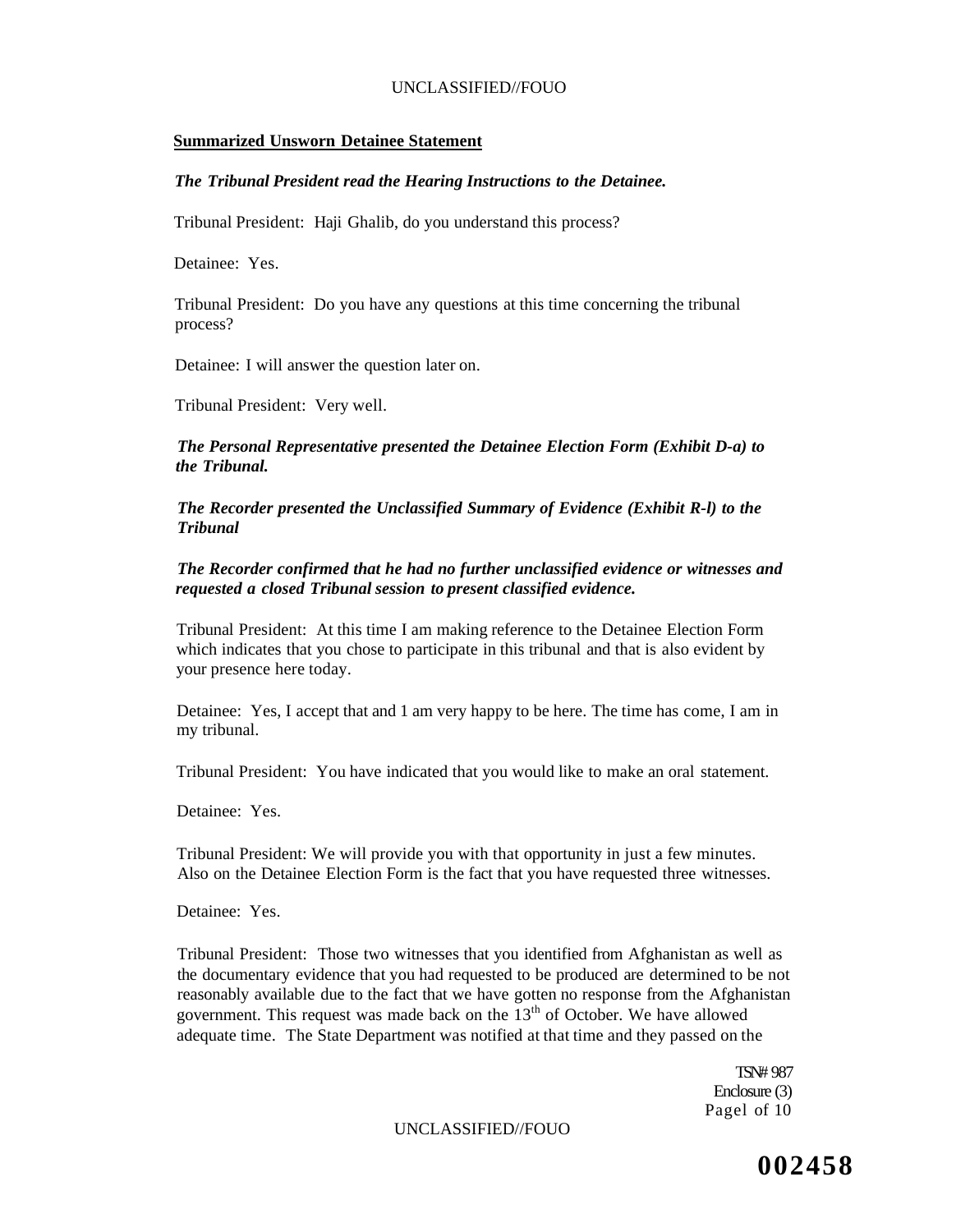### **Summarized Unsworn Detainee Statement**

### *The Tribunal President read the Hearing Instructions to the Detainee.*

Tribunal President: Haji Ghalib, do you understand this process?

Detainee: Yes.

Tribunal President: Do you have any questions at this time concerning the tribunal process?

Detainee: I will answer the question later on.

Tribunal President: Very well.

*The Personal Representative presented the Detainee Election Form (Exhibit D-a) to the Tribunal.* 

*The Recorder presented the Unclassified Summary of Evidence (Exhibit R-l) to the Tribunal* 

*The Recorder confirmed that he had no further unclassified evidence or witnesses and requested a closed Tribunal session to present classified evidence.* 

Tribunal President: At this time I am making reference to the Detainee Election Form which indicates that you chose to participate in this tribunal and that is also evident by your presence here today.

Detainee: Yes, I accept that and 1 am very happy to be here. The time has come, I am in my tribunal.

Tribunal President: You have indicated that you would like to make an oral statement.

Detainee: Yes.

Tribunal President: We will provide you with that opportunity in just a few minutes. Also on the Detainee Election Form is the fact that you have requested three witnesses.

Detainee: Yes.

Tribunal President: Those two witnesses that you identified from Afghanistan as well as the documentary evidence that you had requested to be produced are determined to be not reasonably available due to the fact that we have gotten no response from the Afghanistan government. This request was made back on the  $13<sup>th</sup>$  of October. We have allowed adequate time. The State Department was notified at that time and they passed on the

> TSN# 987 Enclosure (3) Pagel of 10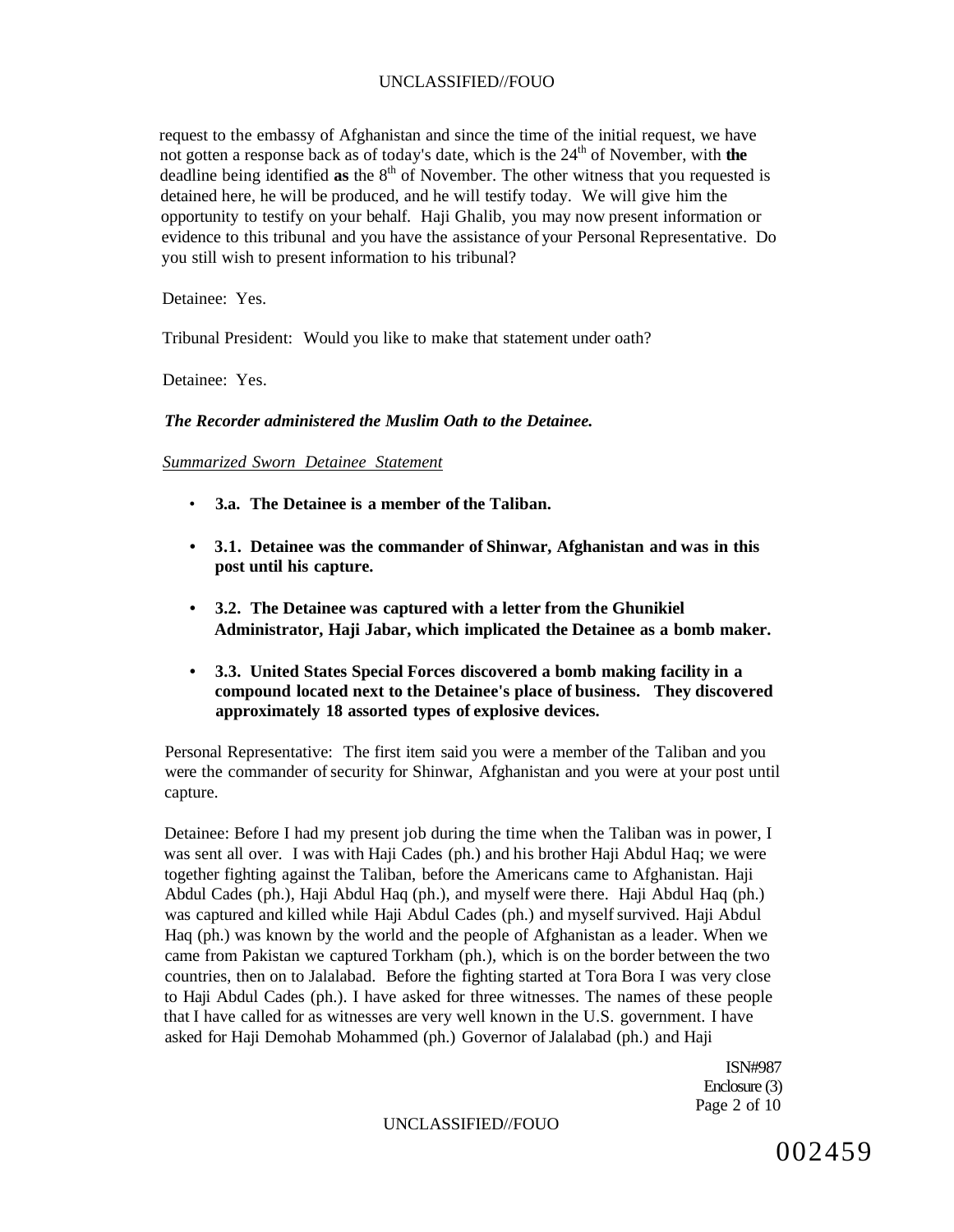request to the embassy of Afghanistan and since the time of the initial request, we have not gotten a response back as of today's date, which is the 24<sup>th</sup> of November, with **the** deadline being identified as the 8<sup>th</sup> of November. The other witness that you requested is detained here, he will be produced, and he will testify today. We will give him the opportunity to testify on your behalf. Haji Ghalib, you may now present information or evidence to this tribunal and you have the assistance of your Personal Representative. Do you still wish to present information to his tribunal?

Detainee: Yes.

Tribunal President: Would you like to make that statement under oath?

Detainee: Yes.

## *The Recorder administered the Muslim Oath to the Detainee.*

#### *Summarized Sworn Detainee Statement*

- *•* **3.a. The Detainee is a member of the Taliban.**
- **3.1. Detainee was the commander of Shinwar, Afghanistan and was in this post until his capture.**
- **3.2. The Detainee was captured with a letter from the Ghunikiel Administrator, Haji Jabar, which implicated the Detainee as a bomb maker.**
- **3.3. United States Special Forces discovered a bomb making facility in a compound located next to the Detainee's place of business. They discovered approximately 18 assorted types of explosive devices.**

Personal Representative: The first item said you were a member of the Taliban and you were the commander of security for Shinwar, Afghanistan and you were at your post until capture.

Detainee: Before I had my present job during the time when the Taliban was in power, I was sent all over. I was with Haji Cades (ph.) and his brother Haji Abdul Haq; we were together fighting against the Taliban, before the Americans came to Afghanistan. Haji Abdul Cades (ph.), Haji Abdul Haq (ph.), and myself were there. Haji Abdul Haq (ph.) was captured and killed while Haji Abdul Cades (ph.) and myself survived. Haji Abdul Haq (ph.) was known by the world and the people of Afghanistan as a leader. When we came from Pakistan we captured Torkham (ph.), which is on the border between the two countries, then on to Jalalabad. Before the fighting started at Tora Bora I was very close to Haji Abdul Cades (ph.). I have asked for three witnesses. The names of these people that I have called for as witnesses are very well known in the U.S. government. I have asked for Haji Demohab Mohammed (ph.) Governor of Jalalabad (ph.) and Haji

> ISN#987 Enclosure (3) Page 2 of 10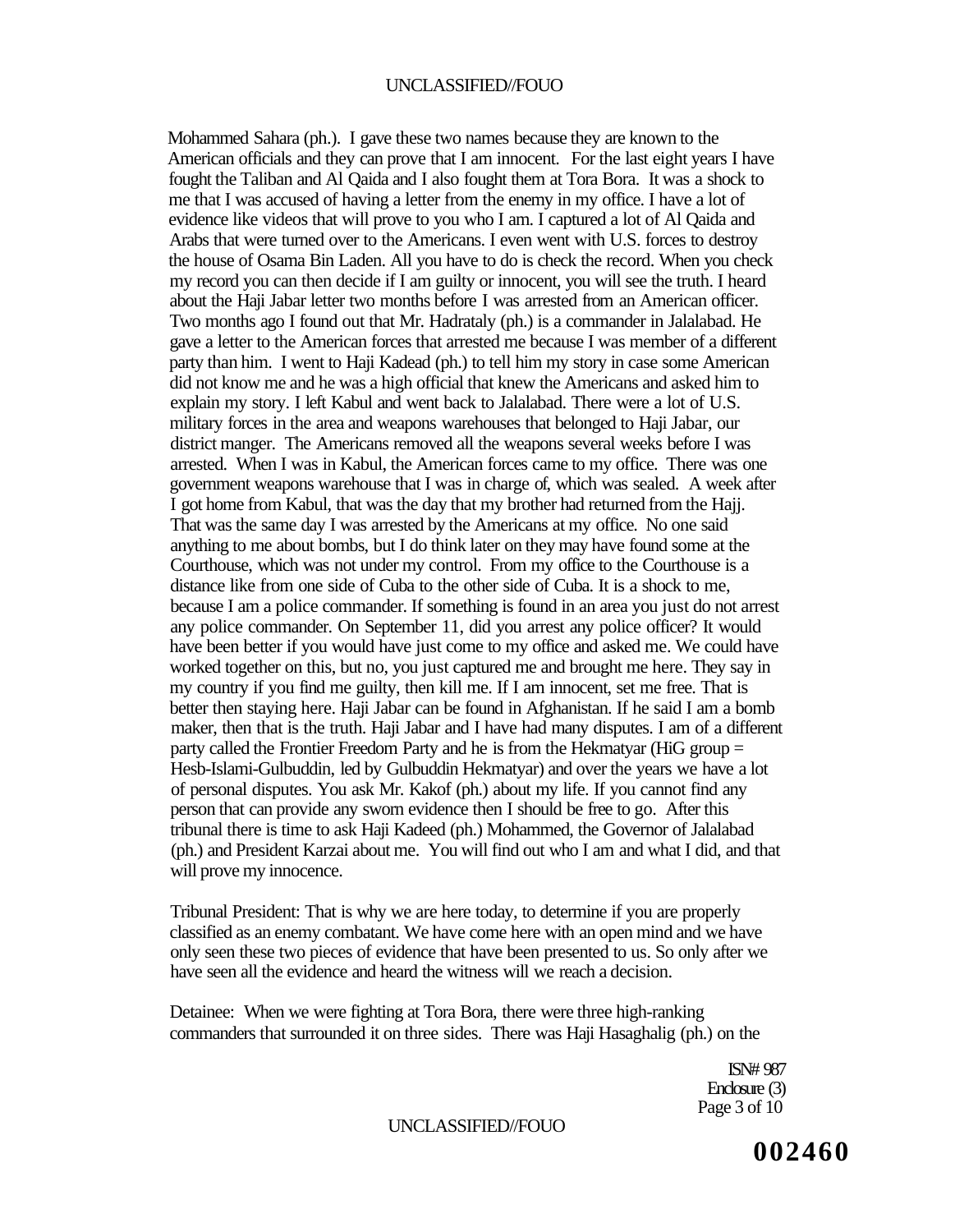Mohammed Sahara (ph.). I gave these two names because they are known to the American officials and they can prove that I am innocent. For the last eight years I have fought the Taliban and Al Qaida and I also fought them at Tora Bora. It was a shock to me that I was accused of having a letter from the enemy in my office. I have a lot of evidence like videos that will prove to you who I am. I captured a lot of Al Qaida and Arabs that were turned over to the Americans. I even went with U.S. forces to destroy the house of Osama Bin Laden. All you have to do is check the record. When you check my record you can then decide if I am guilty or innocent, you will see the truth. I heard about the Haji Jabar letter two months before I was arrested from an American officer. Two months ago I found out that Mr. Hadrataly (ph.) is a commander in Jalalabad. He gave a letter to the American forces that arrested me because I was member of a different party than him. I went to Haji Kadead (ph.) to tell him my story in case some American did not know me and he was a high official that knew the Americans and asked him to explain my story. I left Kabul and went back to Jalalabad. There were a lot of U.S. military forces in the area and weapons warehouses that belonged to Haji Jabar, our district manger. The Americans removed all the weapons several weeks before I was arrested. When I was in Kabul, the American forces came to my office. There was one government weapons warehouse that I was in charge of, which was sealed. A week after I got home from Kabul, that was the day that my brother had returned from the Hajj. That was the same day I was arrested by the Americans at my office. No one said anything to me about bombs, but I do think later on they may have found some at the Courthouse, which was not under my control. From my office to the Courthouse is a distance like from one side of Cuba to the other side of Cuba. It is a shock to me, because I am a police commander. If something is found in an area you just do not arrest any police commander. On September 11, did you arrest any police officer? It would have been better if you would have just come to my office and asked me. We could have worked together on this, but no, you just captured me and brought me here. They say in my country if you find me guilty, then kill me. If I am innocent, set me free. That is better then staying here. Haji Jabar can be found in Afghanistan. If he said I am a bomb maker, then that is the truth. Haji Jabar and I have had many disputes. I am of a different party called the Frontier Freedom Party and he is from the Hekmatyar (HiG group = Hesb-Islami-Gulbuddin, led by Gulbuddin Hekmatyar) and over the years we have a lot of personal disputes. You ask Mr. Kakof (ph.) about my life. If you cannot find any person that can provide any sworn evidence then I should be free to go. After this tribunal there is time to ask Haji Kadeed (ph.) Mohammed, the Governor of Jalalabad (ph.) and President Karzai about me. You will find out who I am and what I did, and that will prove my innocence.

Tribunal President: That is why we are here today, to determine if you are properly classified as an enemy combatant. We have come here with an open mind and we have only seen these two pieces of evidence that have been presented to us. So only after we have seen all the evidence and heard the witness will we reach a decision.

Detainee: When we were fighting at Tora Bora, there were three high-ranking commanders that surrounded it on three sides. There was Haji Hasaghalig (ph.) on the

> ISN# 987 Enclosure (3) Page 3 of 10

UNCLASSIFIED//FOUO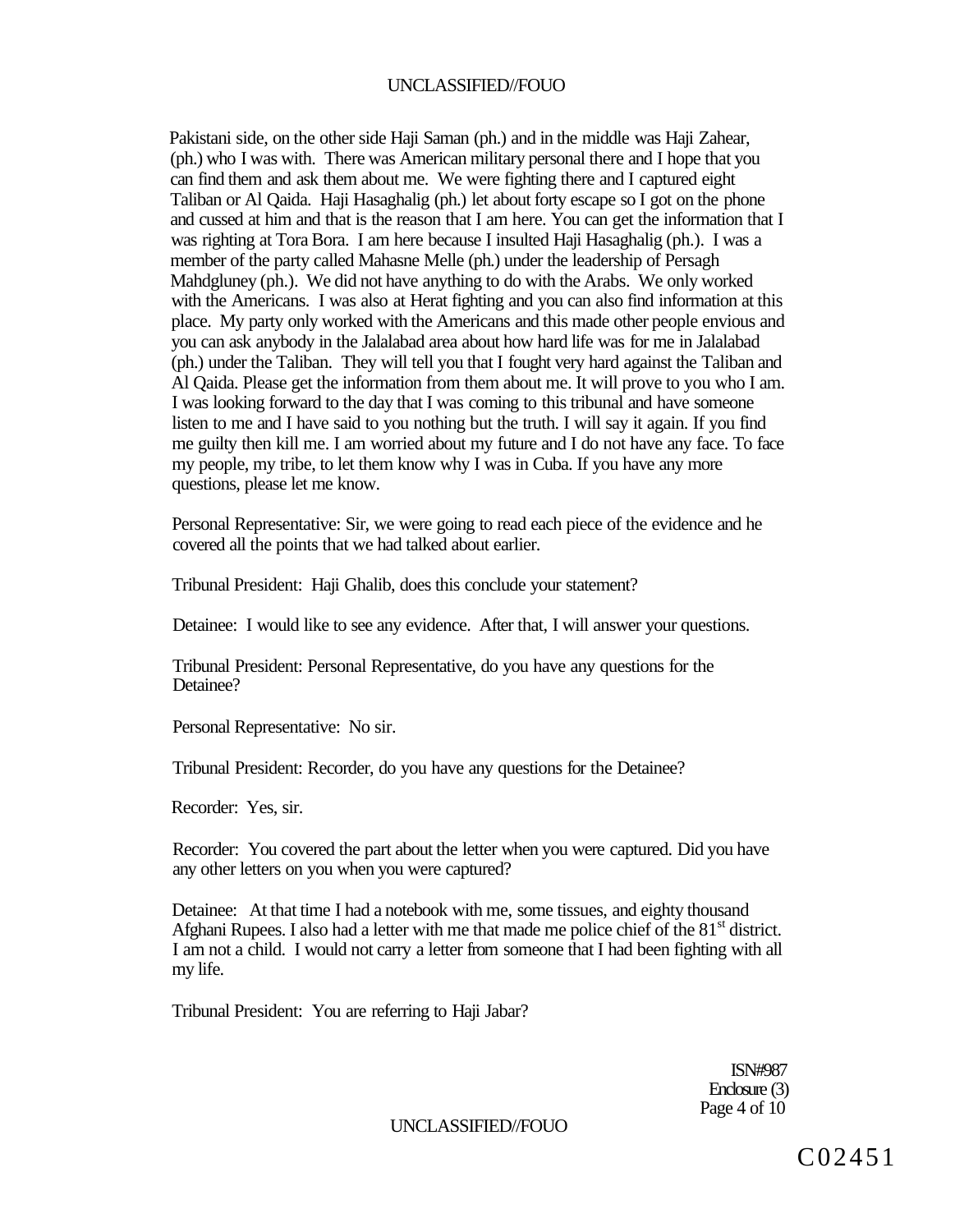Pakistani side, on the other side Haji Saman (ph.) and in the middle was Haji Zahear, (ph.) who I was with. There was American military personal there and I hope that you can find them and ask them about me. We were fighting there and I captured eight Taliban or Al Qaida. Haji Hasaghalig (ph.) let about forty escape so I got on the phone and cussed at him and that is the reason that I am here. You can get the information that I was righting at Tora Bora. I am here because I insulted Haji Hasaghalig (ph.). I was a member of the party called Mahasne Melle (ph.) under the leadership of Persagh Mahdgluney (ph.). We did not have anything to do with the Arabs. We only worked with the Americans. I was also at Herat fighting and you can also find information at this place. My party only worked with the Americans and this made other people envious and you can ask anybody in the Jalalabad area about how hard life was for me in Jalalabad (ph.) under the Taliban. They will tell you that I fought very hard against the Taliban and Al Qaida. Please get the information from them about me. It will prove to you who I am. I was looking forward to the day that I was coming to this tribunal and have someone listen to me and I have said to you nothing but the truth. I will say it again. If you find me guilty then kill me. I am worried about my future and I do not have any face. To face my people, my tribe, to let them know why I was in Cuba. If you have any more questions, please let me know.

Personal Representative: Sir, we were going to read each piece of the evidence and he covered all the points that we had talked about earlier.

Tribunal President: Haji Ghalib, does this conclude your statement?

Detainee: I would like to see any evidence. After that, I will answer your questions.

Tribunal President: Personal Representative, do you have any questions for the Detainee?

Personal Representative: No sir.

Tribunal President: Recorder, do you have any questions for the Detainee?

Recorder: Yes, sir.

Recorder: You covered the part about the letter when you were captured. Did you have any other letters on you when you were captured?

Detainee: At that time I had a notebook with me, some tissues, and eighty thousand Afghani Rupees. I also had a letter with me that made me police chief of the  $81<sup>st</sup>$  district. I am not a child. I would not carry a letter from someone that I had been fighting with all my life.

Tribunal President: You are referring to Haji Jabar?

ISN#987 Enclosure (3) Page 4 of 10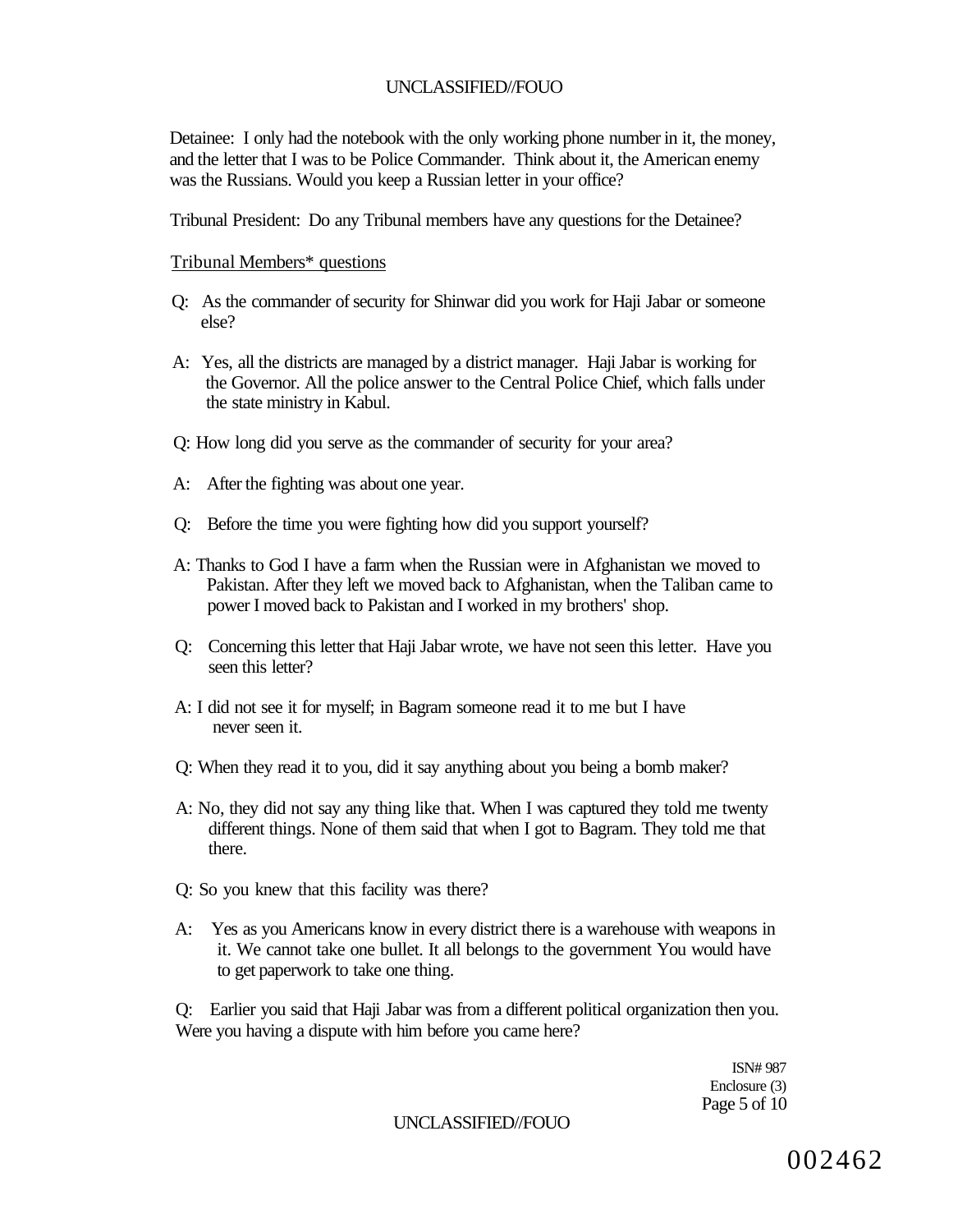Detainee: I only had the notebook with the only working phone number in it, the money, and the letter that I was to be Police Commander. Think about it, the American enemy was the Russians. Would you keep a Russian letter in your office?

Tribunal President: Do any Tribunal members have any questions for the Detainee?

### Tribunal Members\* questions

- Q: As the commander of security for Shinwar did you work for Haji Jabar or someone else?
- A: Yes, all the districts are managed by a district manager. Haji Jabar is working for the Governor. All the police answer to the Central Police Chief, which falls under the state ministry in Kabul.
- Q: How long did you serve as the commander of security for your area?
- A: After the fighting was about one year.
- Q: Before the time you were fighting how did you support yourself?
- A: Thanks to God I have a farm when the Russian were in Afghanistan we moved to Pakistan. After they left we moved back to Afghanistan, when the Taliban came to power I moved back to Pakistan and I worked in my brothers' shop.
- Q: Concerning this letter that Haji Jabar wrote, we have not seen this letter. Have you seen this letter?
- A: I did not see it for myself; in Bagram someone read it to me but I have never seen it.
- Q: When they read it to you, did it say anything about you being a bomb maker?
- A: No, they did not say any thing like that. When I was captured they told me twenty different things. None of them said that when I got to Bagram. They told me that there.
- Q: So you knew that this facility was there?
- A: Yes as you Americans know in every district there is a warehouse with weapons in it. We cannot take one bullet. It all belongs to the government You would have to get paperwork to take one thing.

Q: Earlier you said that Haji Jabar was from a different political organization then you. Were you having a dispute with him before you came here?

> ISN# 987 Enclosure (3) Page 5 of 10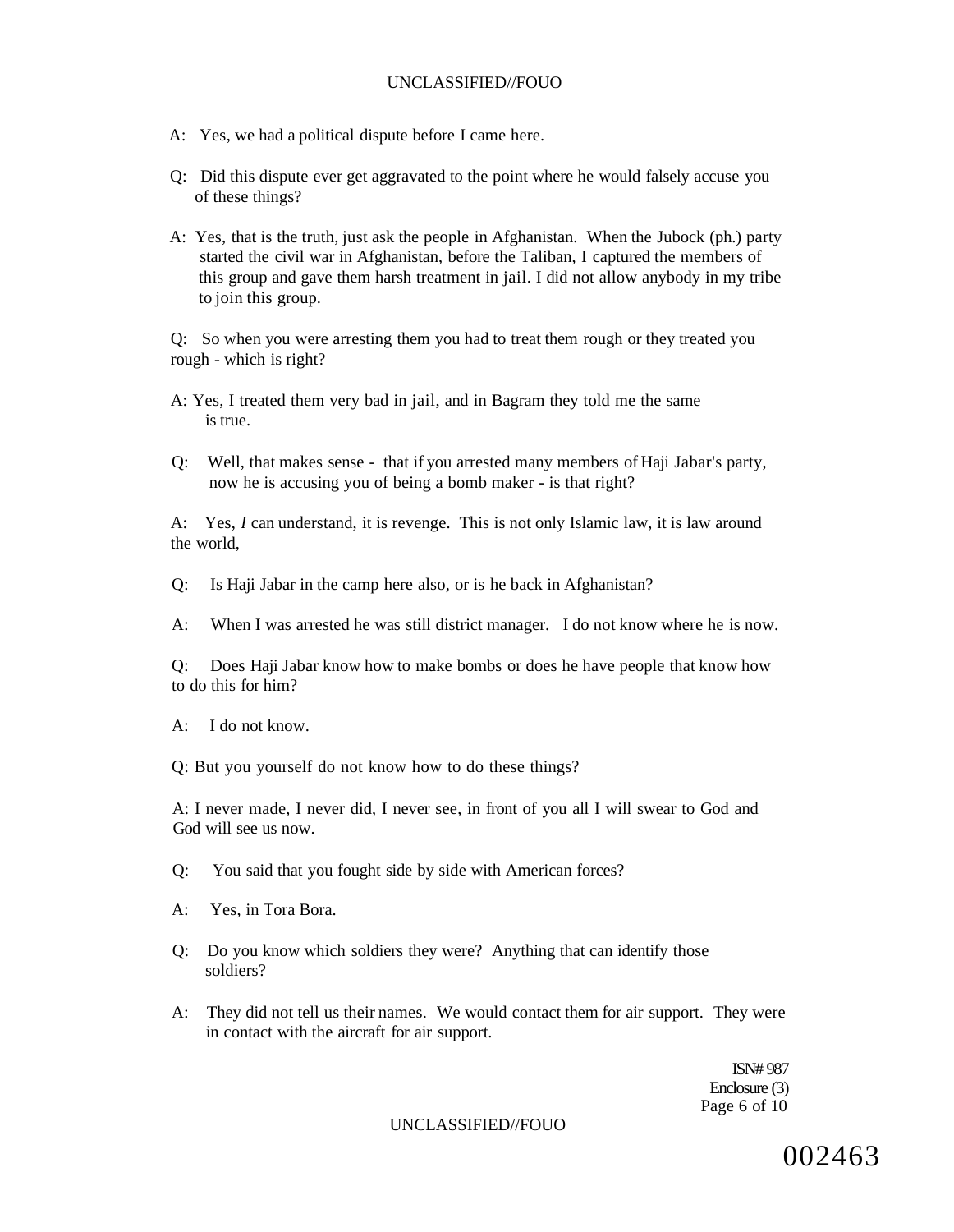- A: Yes, we had a political dispute before I came here.
- Q: Did this dispute ever get aggravated to the point where he would falsely accuse you of these things?
- A: Yes, that is the truth, just ask the people in Afghanistan. When the Jubock (ph.) party started the civil war in Afghanistan, before the Taliban, I captured the members of this group and gave them harsh treatment in jail. I did not allow anybody in my tribe to join this group.

Q: So when you were arresting them you had to treat them rough or they treated you rough - which is right?

- A: Yes, I treated them very bad in jail, and in Bagram they told me the same is true.
- Q: Well, that makes sense that if you arrested many members of Haji Jabar's party, now he is accusing you of being a bomb maker - is that right?

A: Yes, *I* can understand, it is revenge. This is not only Islamic law, it is law around the world,

Q: Is Haji Jabar in the camp here also, or is he back in Afghanistan?

A: When I was arrested he was still district manager. I do not know where he is now.

Q: Does Haji Jabar know how to make bombs or does he have people that know how to do this for him?

A: I do not know.

Q: But you yourself do not know how to do these things?

A: I never made, I never did, I never see, in front of you all I will swear to God and God will see us now.

Q: You said that you fought side by side with American forces?

- A: Yes, in Tora Bora.
- Q: Do you know which soldiers they were? Anything that can identify those soldiers?
- A: They did not tell us their names. We would contact them for air support. They were in contact with the aircraft for air support.

ISN# 987 Enclosure (3) Page 6 of 10

UNCLASSIFIED//FOUO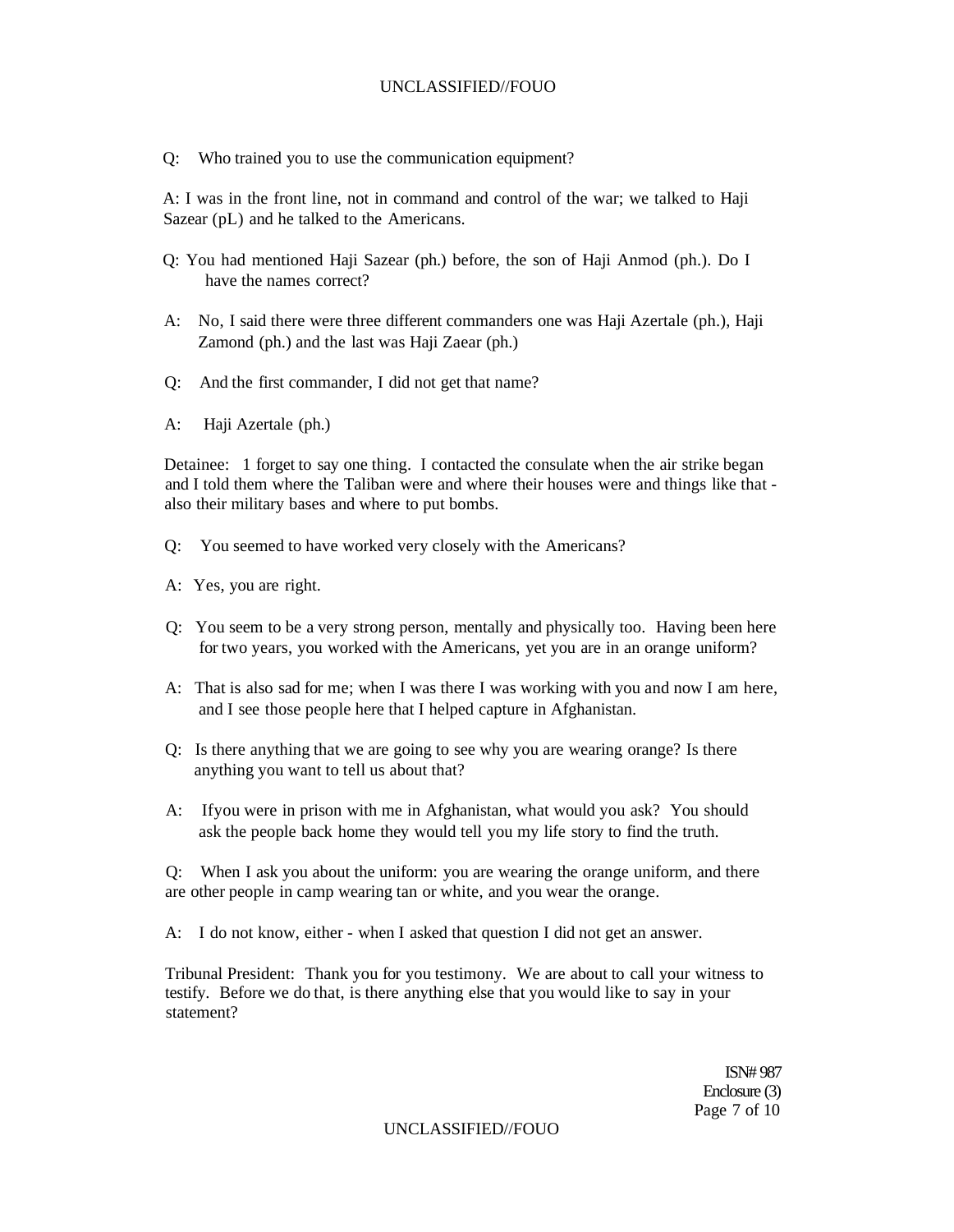Q: Who trained you to use the communication equipment?

A: I was in the front line, not in command and control of the war; we talked to Haji Sazear (pL) and he talked to the Americans.

- Q: You had mentioned Haji Sazear (ph.) before, the son of Haji Anmod (ph.). Do I have the names correct?
- A: No, I said there were three different commanders one was Haji Azertale (ph.), Haji Zamond (ph.) and the last was Haji Zaear (ph.)
- Q: And the first commander, I did not get that name?
- A: Haji Azertale (ph.)

Detainee: 1 forget to say one thing. I contacted the consulate when the air strike began and I told them where the Taliban were and where their houses were and things like that also their military bases and where to put bombs.

- Q: You seemed to have worked very closely with the Americans?
- A: Yes, you are right.
- Q: You seem to be a very strong person, mentally and physically too. Having been here for two years, you worked with the Americans, yet you are in an orange uniform?
- A: That is also sad for me; when I was there I was working with you and now I am here, and I see those people here that I helped capture in Afghanistan.
- Q: Is there anything that we are going to see why you are wearing orange? Is there anything you want to tell us about that?
- A: Ifyou were in prison with me in Afghanistan, what would you ask? You should ask the people back home they would tell you my life story to find the truth.

Q: When I ask you about the uniform: you are wearing the orange uniform, and there are other people in camp wearing tan or white, and you wear the orange.

A: I do not know, either - when I asked that question I did not get an answer.

Tribunal President: Thank you for you testimony. We are about to call your witness to testify. Before we do that, is there anything else that you would like to say in your statement?

> ISN# 987 Enclosure (3) Page 7 of 10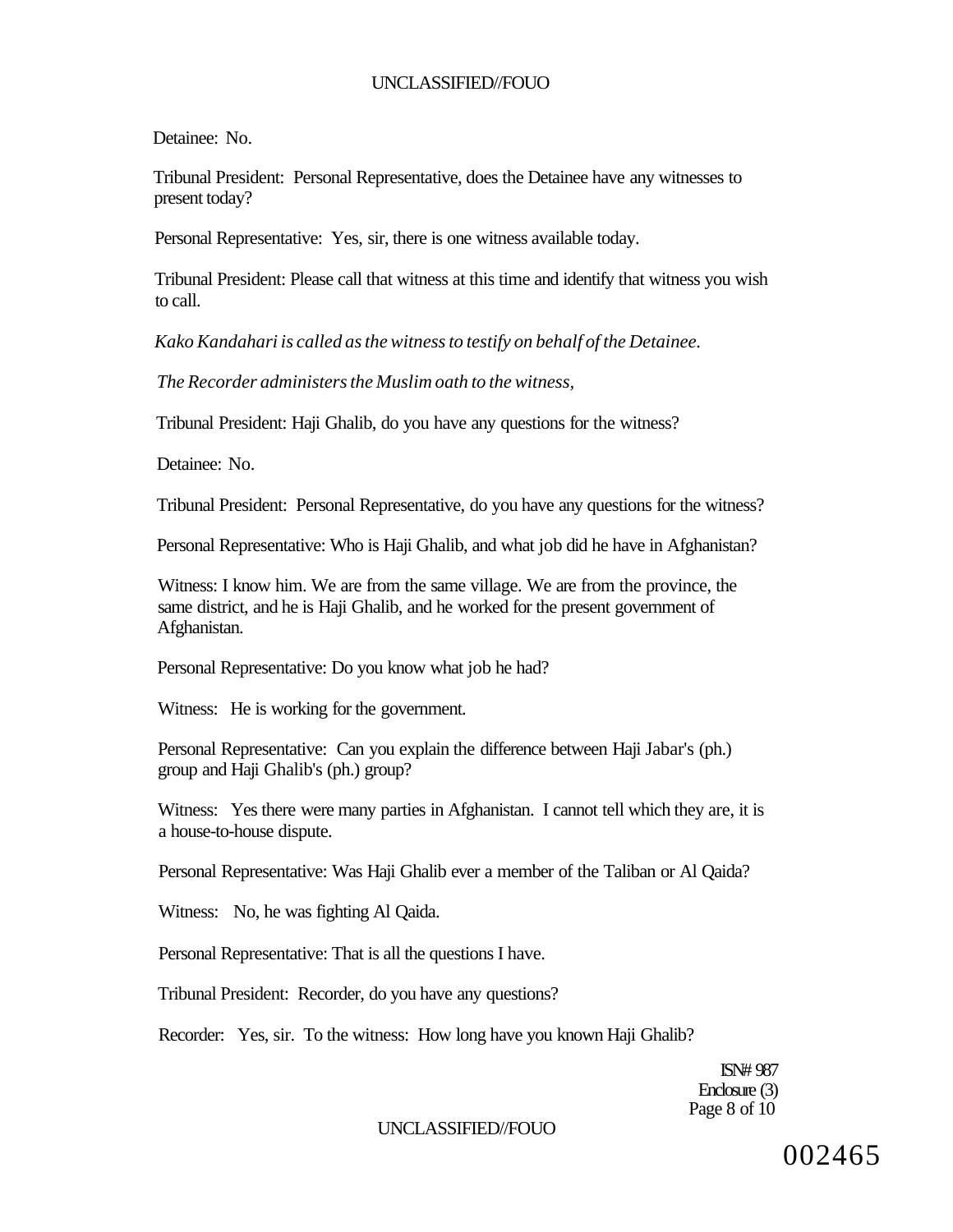Detainee: No.

Tribunal President: Personal Representative, does the Detainee have any witnesses to present today?

Personal Representative: Yes, sir, there is one witness available today.

Tribunal President: Please call that witness at this time and identify that witness you wish to call.

*Kako Kandahari is called as the witness to testify on behalf of the Detainee.* 

*The Recorder administers the Muslim oath to the witness,* 

Tribunal President: Haji Ghalib, do you have any questions for the witness?

Detainee: No.

Tribunal President: Personal Representative, do you have any questions for the witness?

Personal Representative: Who is Haji Ghalib, and what job did he have in Afghanistan?

Witness: I know him. We are from the same village. We are from the province, the same district, and he is Haji Ghalib, and he worked for the present government of Afghanistan.

Personal Representative: Do you know what job he had?

Witness: He is working for the government.

Personal Representative: Can you explain the difference between Haji Jabar's (ph.) group and Haji Ghalib's (ph.) group?

Witness: Yes there were many parties in Afghanistan. I cannot tell which they are, it is a house-to-house dispute.

Personal Representative: Was Haji Ghalib ever a member of the Taliban or Al Qaida?

Witness: No, he was fighting Al Qaida.

Personal Representative: That is all the questions I have.

Tribunal President: Recorder, do you have any questions?

Recorder: Yes, sir. To the witness: How long have you known Haji Ghalib?

ISN# 987 Enclosure (3) Page 8 of 10

#### UNCLASSIFIED//FOUO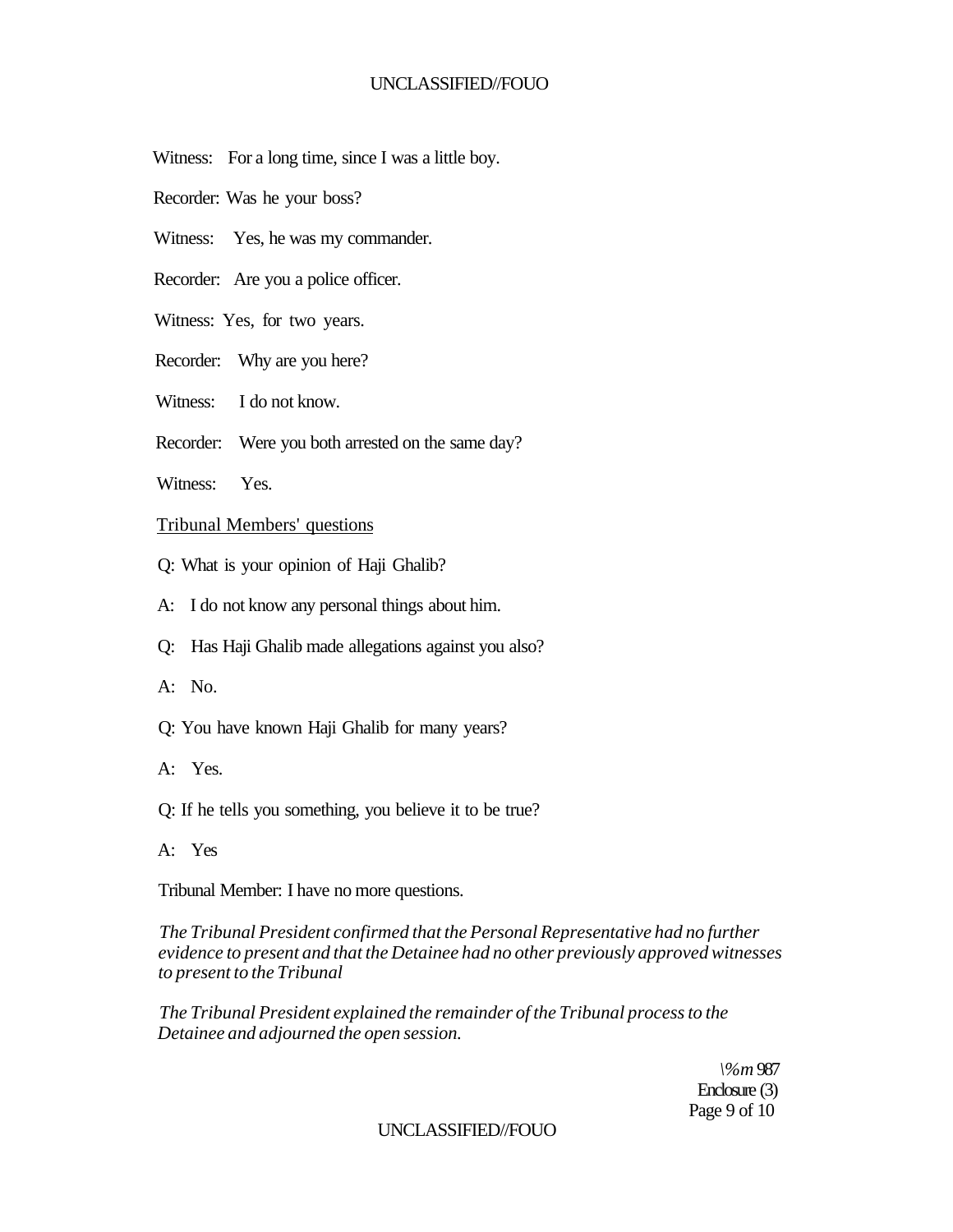- Witness: For a long time, since I was a little boy.
- Recorder: Was he your boss?
- Witness: Yes, he was my commander.
- Recorder: Are you a police officer.
- Witness: Yes, for two years.
- Recorder: Why are you here?
- Witness: I do not know.
- Recorder: Were you both arrested on the same day?
- Witness: Yes.

## Tribunal Members' questions

- Q: What is your opinion of Haji Ghalib?
- A: I do not know any personal things about him.
- Q: Has Haji Ghalib made allegations against you also?
- $A: No.$
- Q: You have known Haji Ghalib for many years?
- A: Yes.
- Q: If he tells you something, you believe it to be true?
- A: Yes

Tribunal Member: I have no more questions.

*The Tribunal President confirmed that the Personal Representative had no further evidence to present and that the Detainee had no other previously approved witnesses to present to the Tribunal* 

*The Tribunal President explained the remainder of the Tribunal process to the Detainee and adjourned the open session.* 

> *\%m* 987 Enclosure (3) Page 9 of 10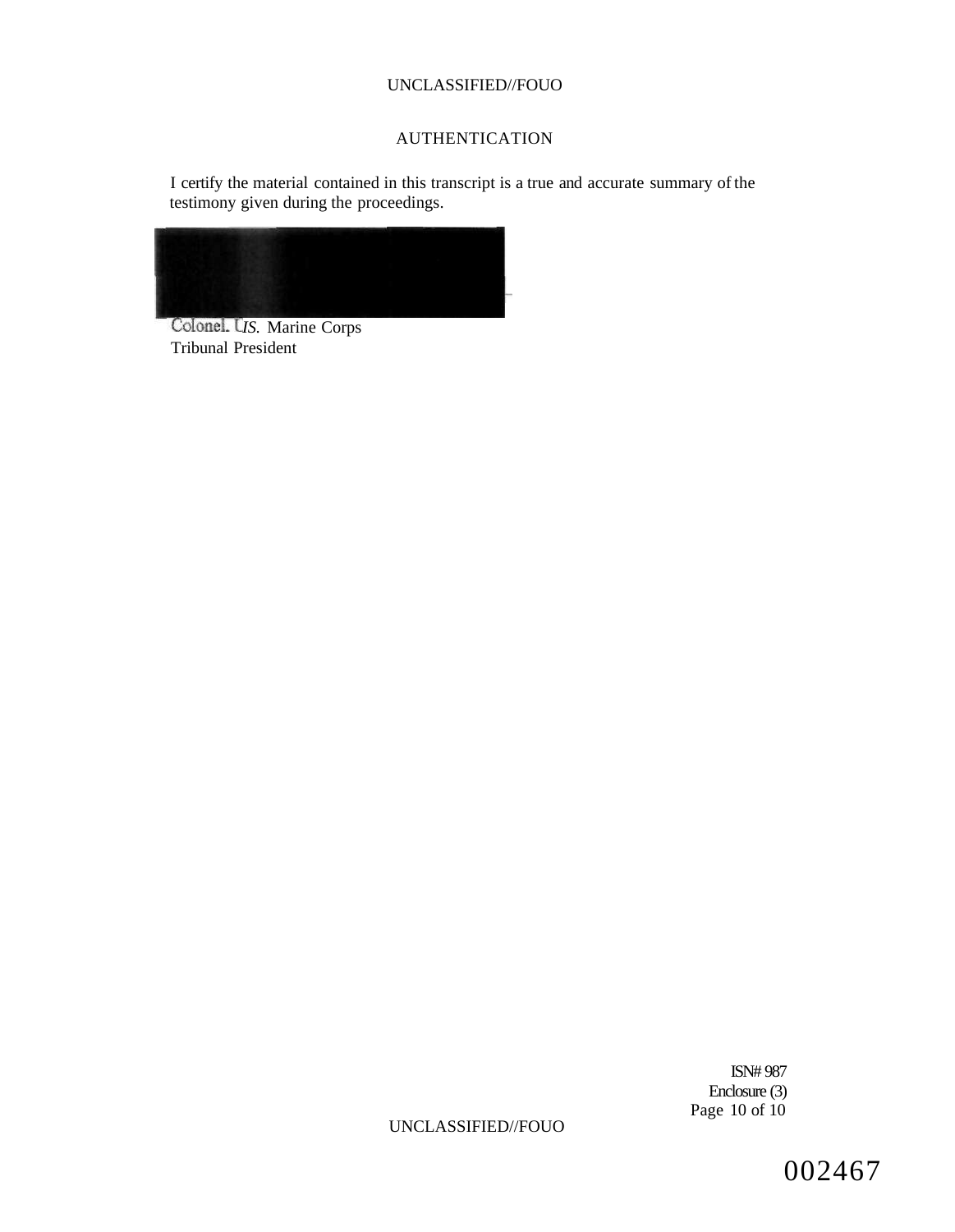# AUTHENTICATION

I certify the material contained in this transcript is a true and accurate summary of the testimony given during the proceedings.



Colonel. U<sub>IS.</sub> Marine Corps Tribunal President

> ISN# 987 Enclosure (3) Page 10 of 10

UNCLASSIFIED//FOUO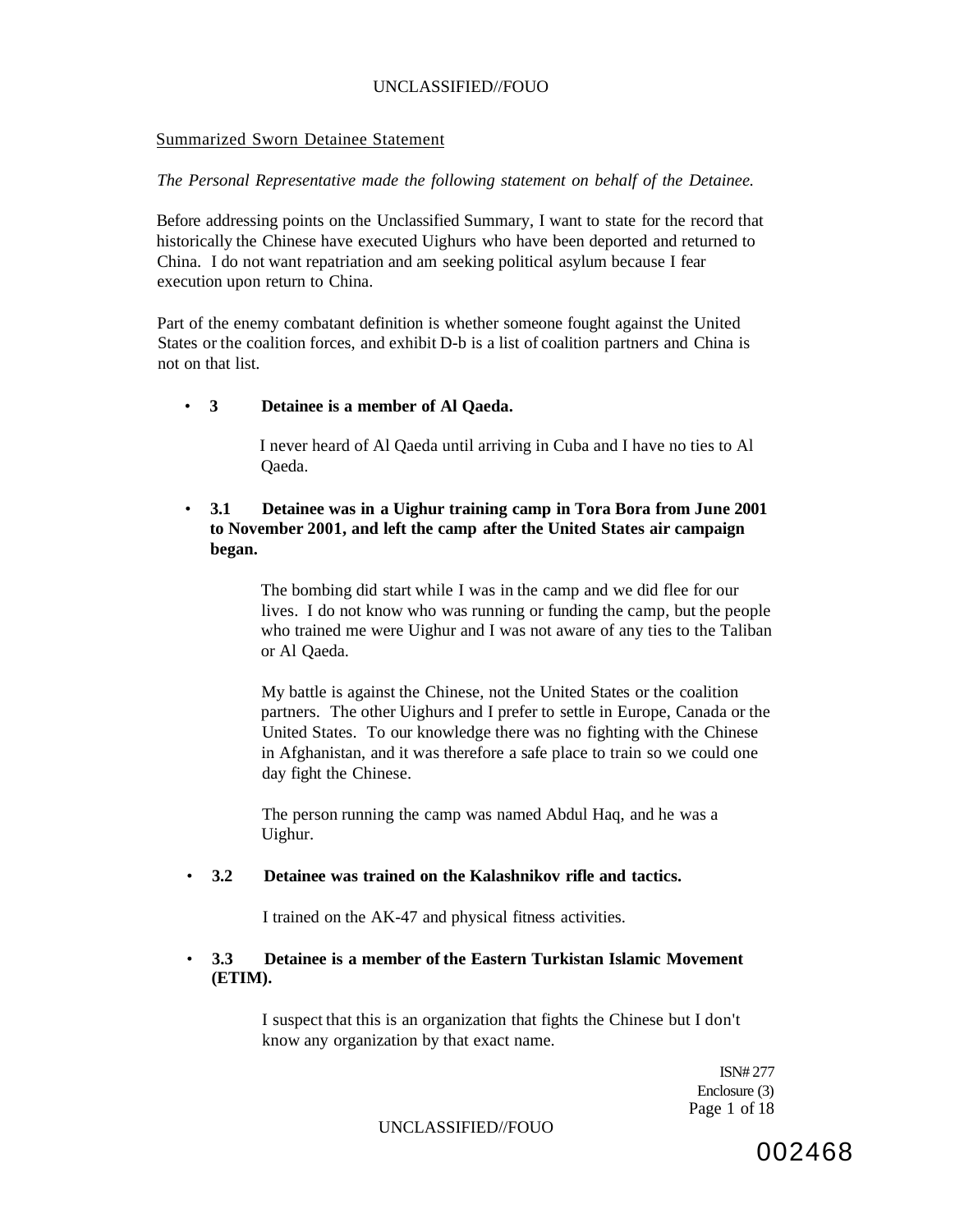#### Summarized Sworn Detainee Statement

### *The Personal Representative made the following statement on behalf of the Detainee.*

Before addressing points on the Unclassified Summary, I want to state for the record that historically the Chinese have executed Uighurs who have been deported and returned to China. I do not want repatriation and am seeking political asylum because I fear execution upon return to China.

Part of the enemy combatant definition is whether someone fought against the United States or the coalition forces, and exhibit D-b is a list of coalition partners and China is not on that list.

### • **3 Detainee is a member of Al Qaeda.**

I never heard of Al Qaeda until arriving in Cuba and I have no ties to Al Qaeda.

## • **3.1 Detainee was in a Uighur training camp in Tora Bora from June 2001 to November 2001, and left the camp after the United States air campaign began.**

The bombing did start while I was in the camp and we did flee for our lives. I do not know who was running or funding the camp, but the people who trained me were Uighur and I was not aware of any ties to the Taliban or Al Qaeda.

My battle is against the Chinese, not the United States or the coalition partners. The other Uighurs and I prefer to settle in Europe, Canada or the United States. To our knowledge there was no fighting with the Chinese in Afghanistan, and it was therefore a safe place to train so we could one day fight the Chinese.

The person running the camp was named Abdul Haq, and he was a Uighur.

#### • **3.2 Detainee was trained on the Kalashnikov rifle and tactics.**

I trained on the AK-47 and physical fitness activities.

## • **3.3 Detainee is a member of the Eastern Turkistan Islamic Movement (ETIM).**

I suspect that this is an organization that fights the Chinese but I don't know any organization by that exact name.

> ISN# 277 Enclosure (3) Page 1 of 18

#### UNCLASSIFIED//FOUO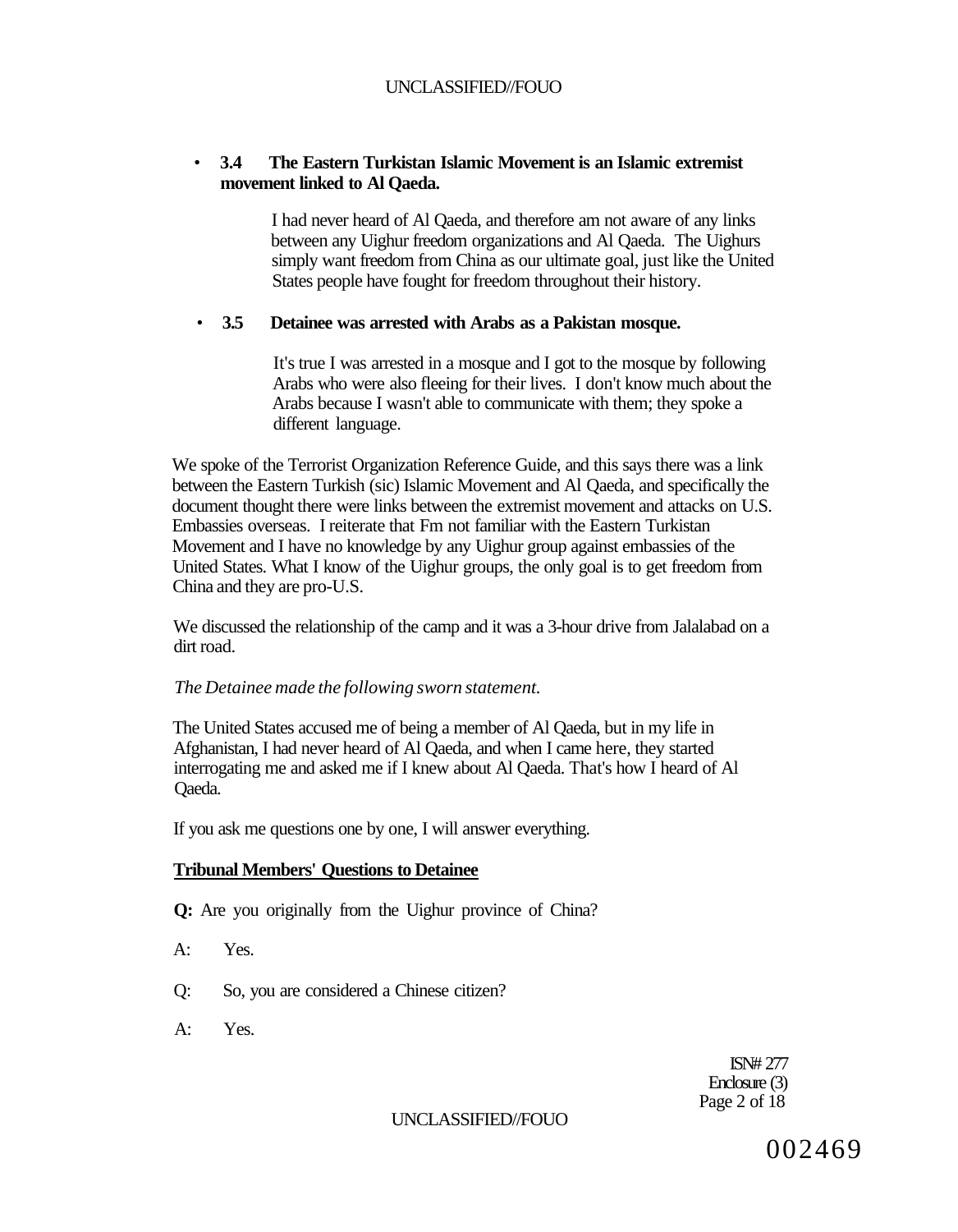## • **3.4 The Eastern Turkistan Islamic Movement is an Islamic extremist movement linked to Al Qaeda.**

I had never heard of Al Qaeda, and therefore am not aware of any links between any Uighur freedom organizations and Al Qaeda. The Uighurs simply want freedom from China as our ultimate goal, just like the United States people have fought for freedom throughout their history.

## • **3.5 Detainee was arrested with Arabs as a Pakistan mosque.**

It's true I was arrested in a mosque and I got to the mosque by following Arabs who were also fleeing for their lives. I don't know much about the Arabs because I wasn't able to communicate with them; they spoke a different language.

We spoke of the Terrorist Organization Reference Guide, and this says there was a link between the Eastern Turkish (sic) Islamic Movement and Al Qaeda, and specifically the document thought there were links between the extremist movement and attacks on U.S. Embassies overseas. I reiterate that Fm not familiar with the Eastern Turkistan Movement and I have no knowledge by any Uighur group against embassies of the United States. What I know of the Uighur groups, the only goal is to get freedom from China and they are pro-U.S.

We discussed the relationship of the camp and it was a 3-hour drive from Jalalabad on a dirt road.

# *The Detainee made the following sworn statement.*

The United States accused me of being a member of Al Qaeda, but in my life in Afghanistan, I had never heard of Al Qaeda, and when I came here, they started interrogating me and asked me if I knew about Al Qaeda. That's how I heard of Al Qaeda.

If you ask me questions one by one, I will answer everything.

# **Tribunal Members' Questions to Detainee**

- **Q:** Are you originally from the Uighur province of China?
- A: Yes.
- Q: So, you are considered a Chinese citizen?
- A: Yes.

ISN# 277 Enclosure (3) Page 2 of 18

## UNCLASSIFIED//FOUO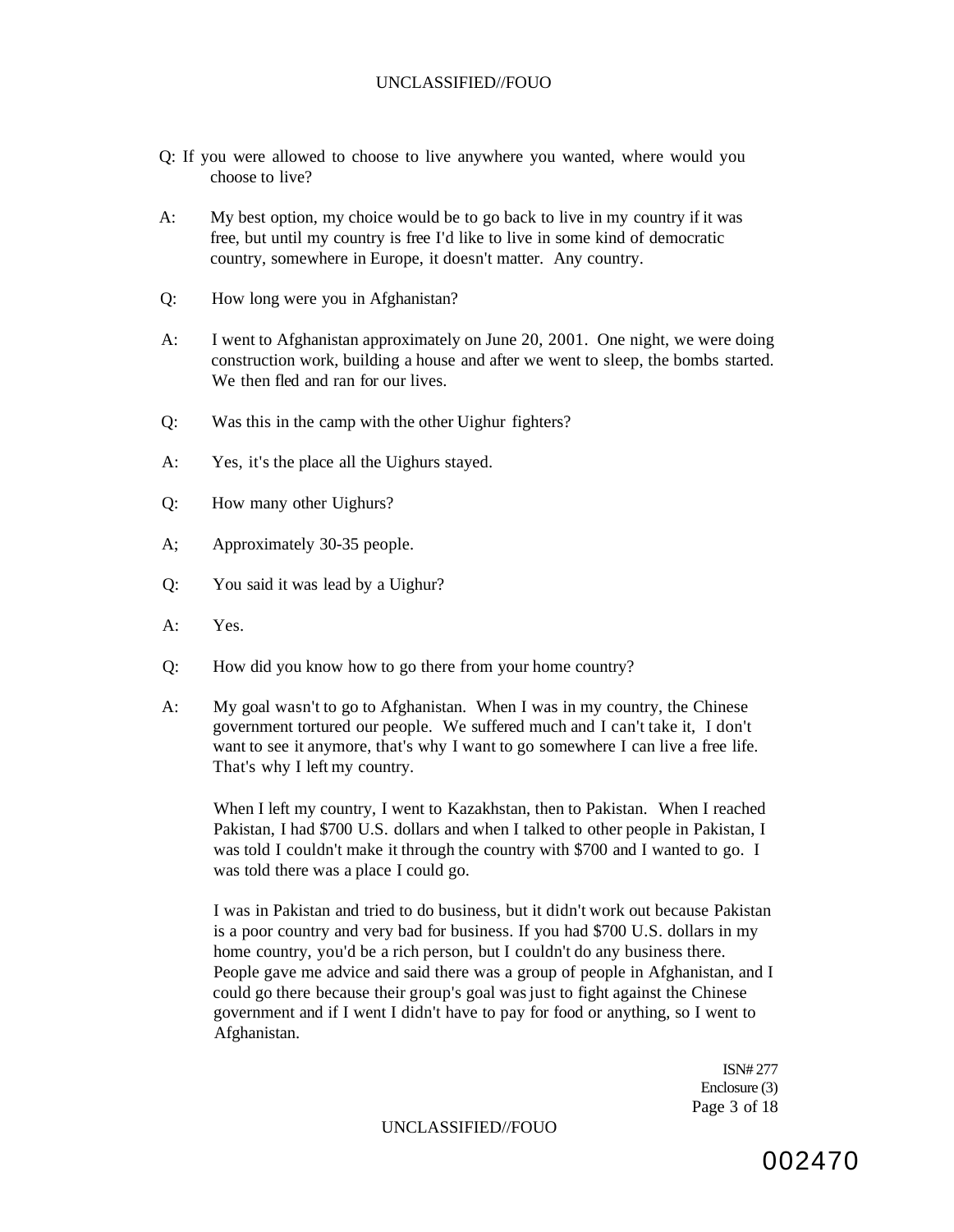- Q: If you were allowed to choose to live anywhere you wanted, where would you choose to live?
- A: My best option, my choice would be to go back to live in my country if it was free, but until my country is free I'd like to live in some kind of democratic country, somewhere in Europe, it doesn't matter. Any country.
- Q: How long were you in Afghanistan?
- A: I went to Afghanistan approximately on June 20, 2001. One night, we were doing construction work, building a house and after we went to sleep, the bombs started. We then fled and ran for our lives.
- Q: Was this in the camp with the other Uighur fighters?
- A: Yes, it's the place all the Uighurs stayed.
- Q: How many other Uighurs?
- A; Approximately 30-35 people.
- Q: You said it was lead by a Uighur?
- A: Yes.
- Q: How did you know how to go there from your home country?
- A: My goal wasn't to go to Afghanistan. When I was in my country, the Chinese government tortured our people. We suffered much and I can't take it, I don't want to see it anymore, that's why I want to go somewhere I can live a free life. That's why I left my country.

When I left my country, I went to Kazakhstan, then to Pakistan. When I reached Pakistan, I had \$700 U.S. dollars and when I talked to other people in Pakistan, I was told I couldn't make it through the country with \$700 and I wanted to go. I was told there was a place I could go.

I was in Pakistan and tried to do business, but it didn't work out because Pakistan is a poor country and very bad for business. If you had \$700 U.S. dollars in my home country, you'd be a rich person, but I couldn't do any business there. People gave me advice and said there was a group of people in Afghanistan, and I could go there because their group's goal was just to fight against the Chinese government and if I went I didn't have to pay for food or anything, so I went to Afghanistan.

> ISN# 277 Enclosure (3) Page 3 of 18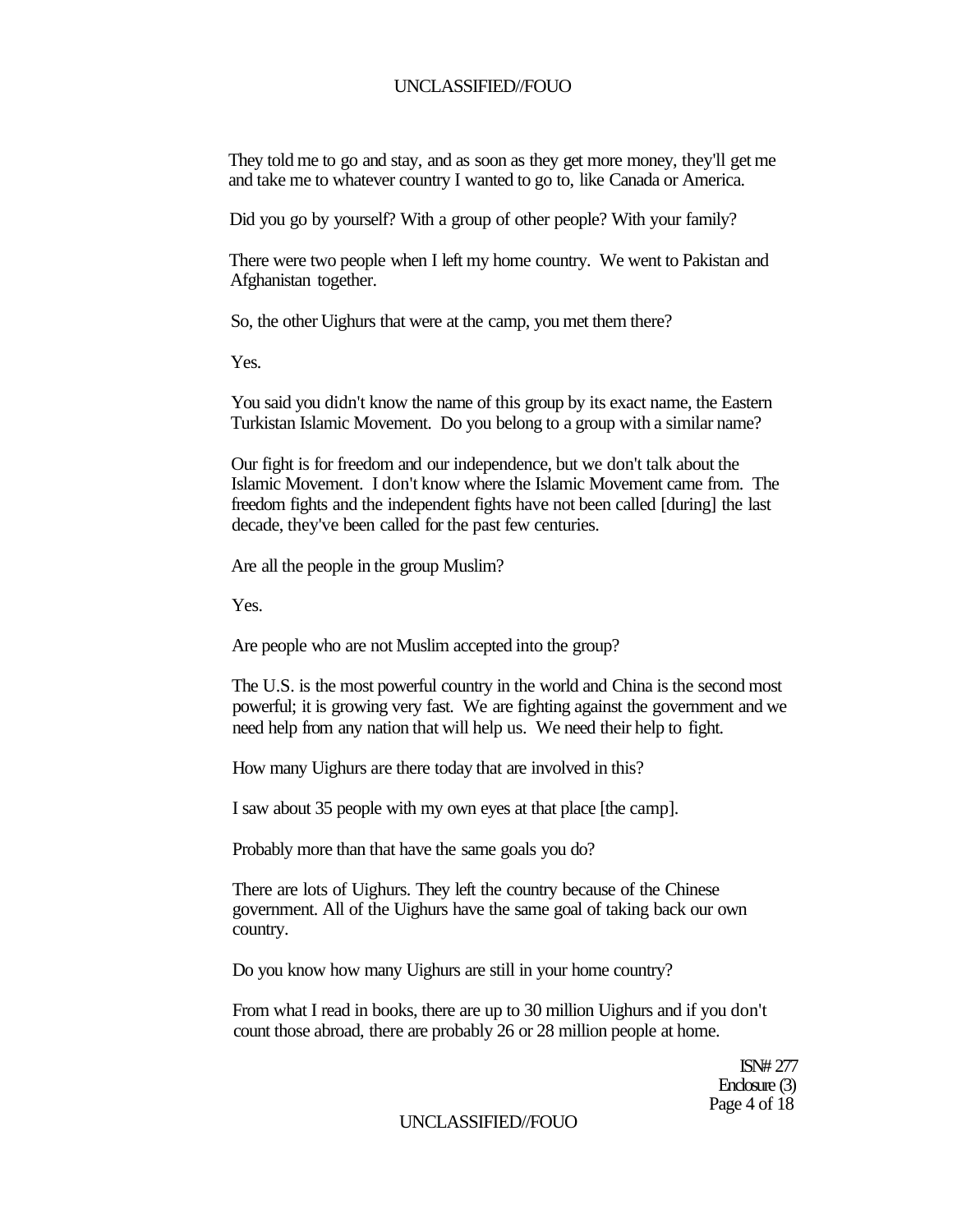They told me to go and stay, and as soon as they get more money, they'll get me and take me to whatever country I wanted to go to, like Canada or America.

Did you go by yourself? With a group of other people? With your family?

There were two people when I left my home country. We went to Pakistan and Afghanistan together.

So, the other Uighurs that were at the camp, you met them there?

Yes.

You said you didn't know the name of this group by its exact name, the Eastern Turkistan Islamic Movement. Do you belong to a group with a similar name?

Our fight is for freedom and our independence, but we don't talk about the Islamic Movement. I don't know where the Islamic Movement came from. The freedom fights and the independent fights have not been called [during] the last decade, they've been called for the past few centuries.

Are all the people in the group Muslim?

Yes.

Are people who are not Muslim accepted into the group?

The U.S. is the most powerful country in the world and China is the second most powerful; it is growing very fast. We are fighting against the government and we need help from any nation that will help us. We need their help to fight.

How many Uighurs are there today that are involved in this?

I saw about 35 people with my own eyes at that place [the camp].

Probably more than that have the same goals you do?

There are lots of Uighurs. They left the country because of the Chinese government. All of the Uighurs have the same goal of taking back our own country.

Do you know how many Uighurs are still in your home country?

From what I read in books, there are up to 30 million Uighurs and if you don't count those abroad, there are probably 26 or 28 million people at home.

> ISN# 277 Enclosure (3) Page 4 of 18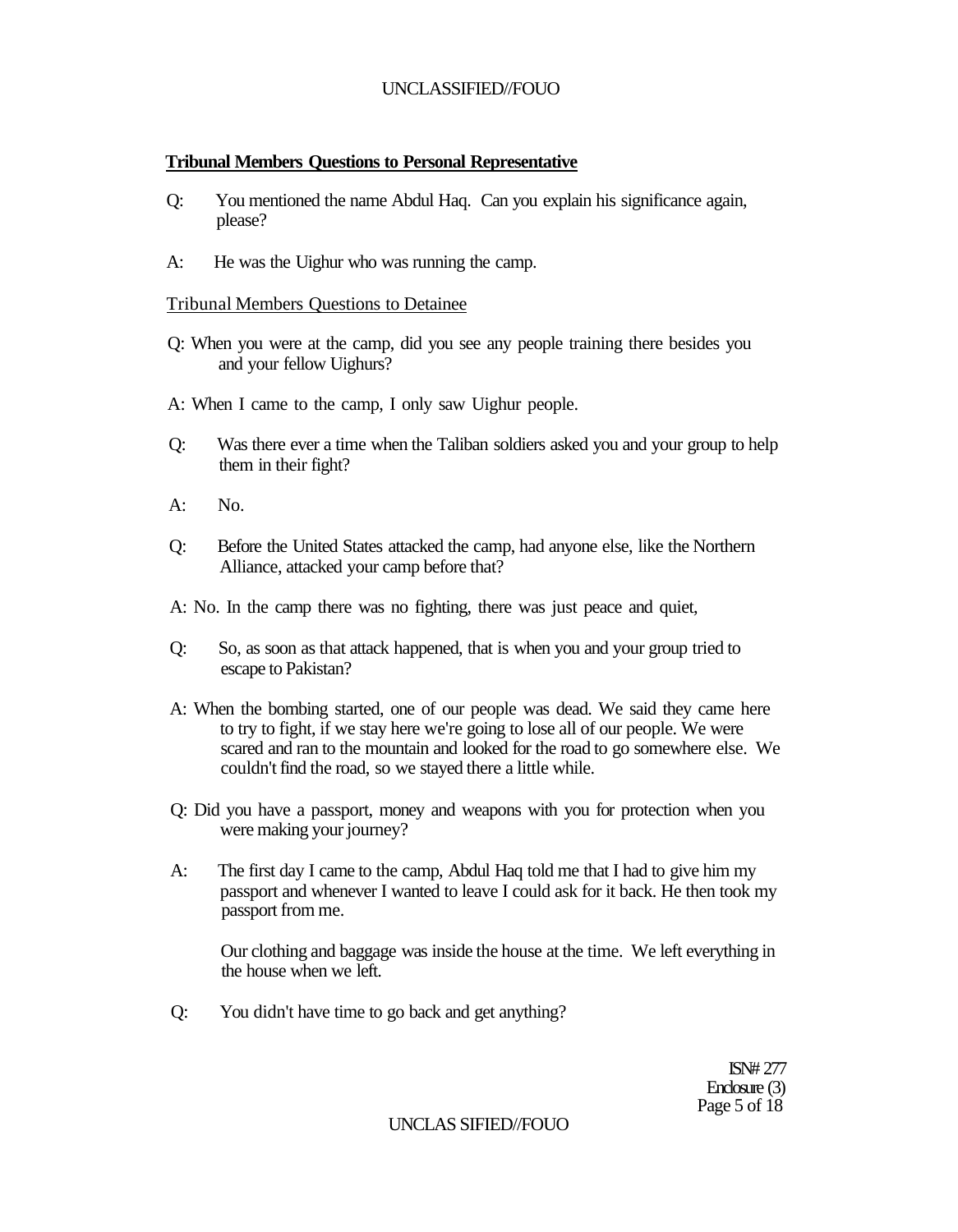## **Tribunal Members Questions to Personal Representative**

- Q: You mentioned the name Abdul Haq. Can you explain his significance again, please?
- A: He was the Uighur who was running the camp.

## Tribunal Members Questions to Detainee

- Q: When you were at the camp, did you see any people training there besides you and your fellow Uighurs?
- A: When I came to the camp, I only saw Uighur people.
- Q: Was there ever a time when the Taliban soldiers asked you and your group to help them in their fight?
- $A: N_0$
- Q: Before the United States attacked the camp, had anyone else, like the Northern Alliance, attacked your camp before that?
- A: No. In the camp there was no fighting, there was just peace and quiet,
- Q: So, as soon as that attack happened, that is when you and your group tried to escape to Pakistan?
- A: When the bombing started, one of our people was dead. We said they came here to try to fight, if we stay here we're going to lose all of our people. We were scared and ran to the mountain and looked for the road to go somewhere else. We couldn't find the road, so we stayed there a little while.
- Q: Did you have a passport, money and weapons with you for protection when you were making your journey?
- A: The first day I came to the camp, Abdul Haq told me that I had to give him my passport and whenever I wanted to leave I could ask for it back. He then took my passport from me.

Our clothing and baggage was inside the house at the time. We left everything in the house when we left.

Q: You didn't have time to go back and get anything?

ISN# 277 Enclosure (3) Page 5 of 18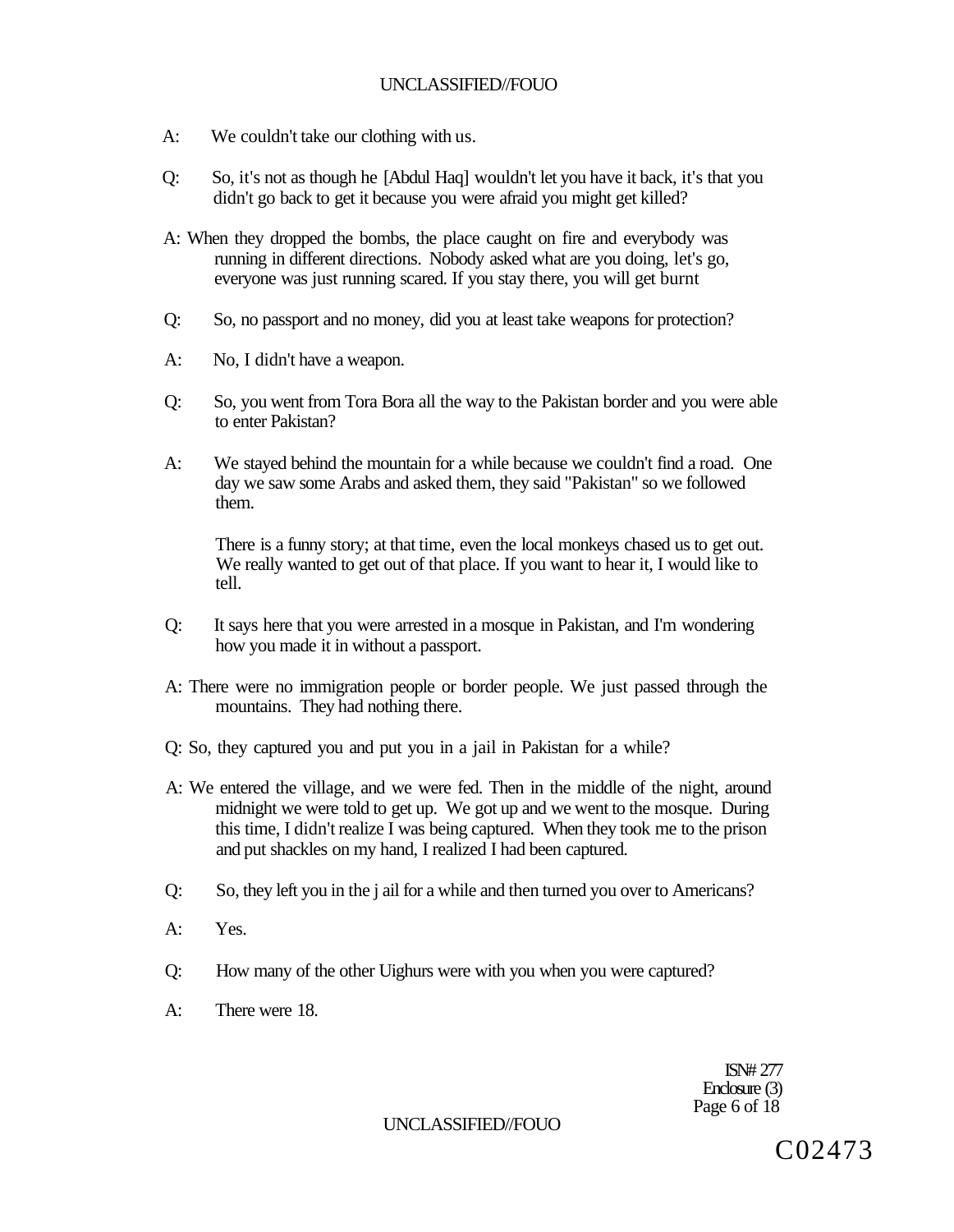- A: We couldn't take our clothing with us.
- Q: So, it's not as though he [Abdul Haq] wouldn't let you have it back, it's that you didn't go back to get it because you were afraid you might get killed?
- A: When they dropped the bombs, the place caught on fire and everybody was running in different directions. Nobody asked what are you doing, let's go, everyone was just running scared. If you stay there, you will get burnt
- Q: So, no passport and no money, did you at least take weapons for protection?
- A: No, I didn't have a weapon.
- Q: So, you went from Tora Bora all the way to the Pakistan border and you were able to enter Pakistan?
- A: We stayed behind the mountain for a while because we couldn't find a road. One day we saw some Arabs and asked them, they said "Pakistan" so we followed them.

There is a funny story; at that time, even the local monkeys chased us to get out. We really wanted to get out of that place. If you want to hear it, I would like to tell.

- Q: It says here that you were arrested in a mosque in Pakistan, and I'm wondering how you made it in without a passport.
- A: There were no immigration people or border people. We just passed through the mountains. They had nothing there.
- Q: So, they captured you and put you in a jail in Pakistan for a while?
- A: We entered the village, and we were fed. Then in the middle of the night, around midnight we were told to get up. We got up and we went to the mosque. During this time, I didn't realize I was being captured. When they took me to the prison and put shackles on my hand, I realized I had been captured.
- Q: So, they left you in the j ail for a while and then turned you over to Americans?
- A: Yes.
- Q: How many of the other Uighurs were with you when you were captured?
- A: There were 18.

ISN# 277 Enclosure (3) Page 6 of 18

### UNCLASSIFIED//FOUO

C02473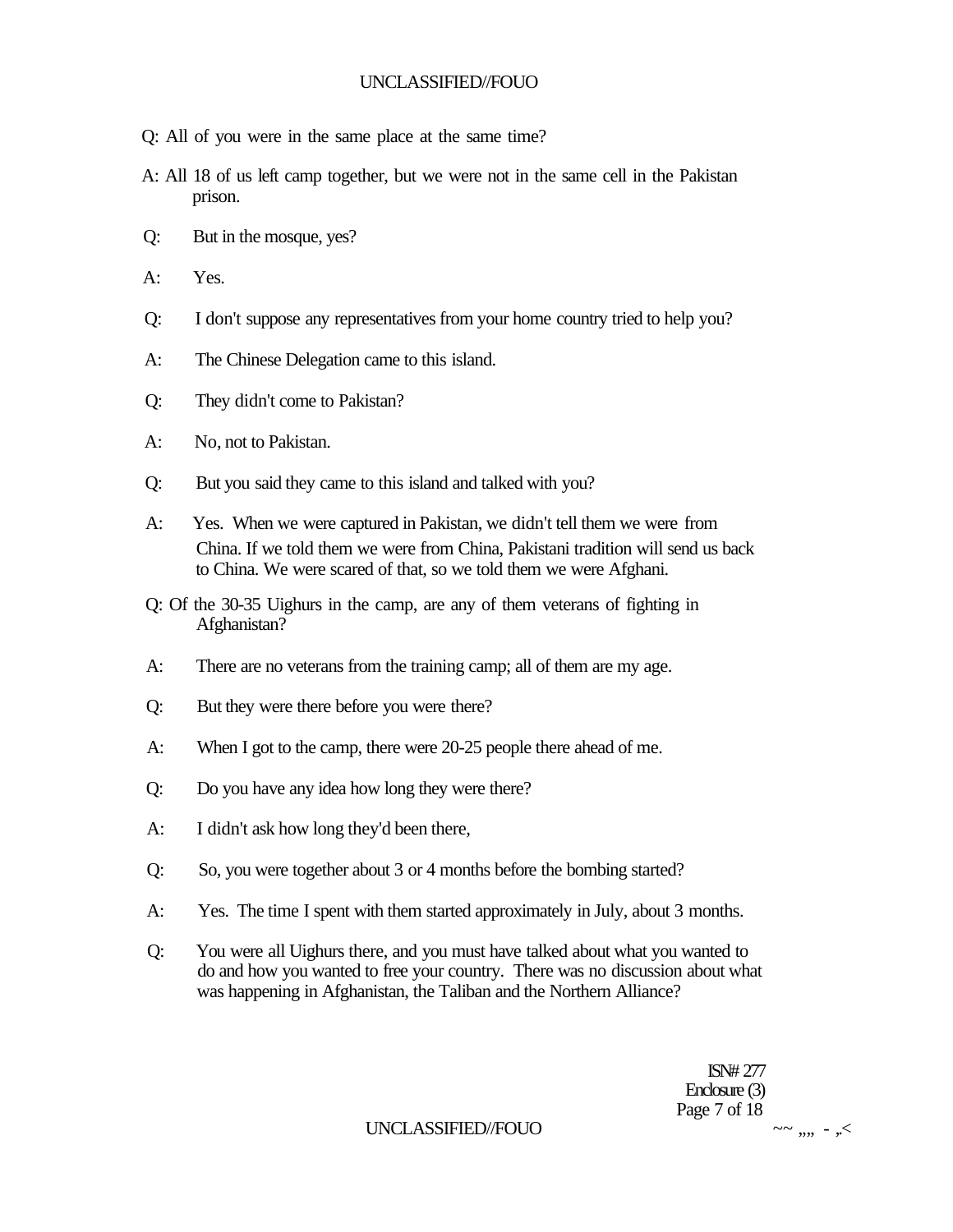- Q: All of you were in the same place at the same time?
- A: All 18 of us left camp together, but we were not in the same cell in the Pakistan prison.
- Q: But in the mosque, yes?
- A: Yes.
- Q: I don't suppose any representatives from your home country tried to help you?
- A: The Chinese Delegation came to this island.
- Q: They didn't come to Pakistan?
- A: No, not to Pakistan.
- Q: But you said they came to this island and talked with you?
- A: Yes. When we were captured in Pakistan, we didn't tell them we were from China. If we told them we were from China, Pakistani tradition will send us back to China. We were scared of that, so we told them we were Afghani.
- Q: Of the 30-35 Uighurs in the camp, are any of them veterans of fighting in Afghanistan?
- A: There are no veterans from the training camp; all of them are my age.
- Q: But they were there before you were there?
- A: When I got to the camp, there were 20-25 people there ahead of me.
- Q: Do you have any idea how long they were there?
- A: I didn't ask how long they'd been there,
- Q: So, you were together about 3 or 4 months before the bombing started?
- A: Yes. The time I spent with them started approximately in July, about 3 months.
- Q: You were all Uighurs there, and you must have talked about what you wanted to do and how you wanted to free your country. There was no discussion about what was happening in Afghanistan, the Taliban and the Northern Alliance?

ISN# 277 Enclosure (3) Page 7 of 18

## UNCLASSIFIED//FOUO  $\sim$   $\sim$   $\ldots$   $\sim$   $\sim$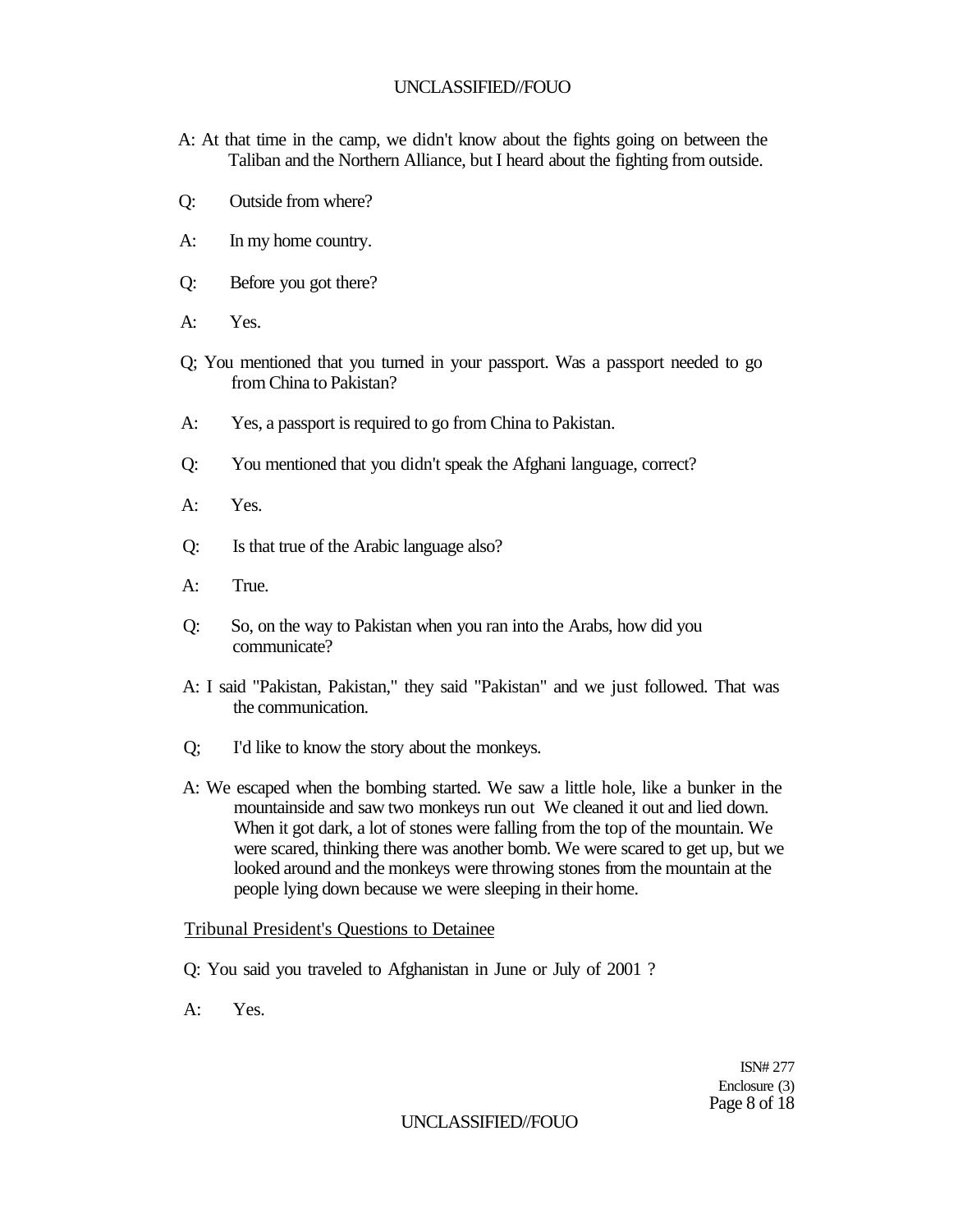- A: At that time in the camp, we didn't know about the fights going on between the Taliban and the Northern Alliance, but I heard about the fighting from outside.
- Q: Outside from where?
- A: In my home country.
- Q: Before you got there?
- A: Yes.
- Q; You mentioned that you turned in your passport. Was a passport needed to go from China to Pakistan?
- A: Yes, a passport is required to go from China to Pakistan.
- Q: You mentioned that you didn't speak the Afghani language, correct?
- A: Yes.
- Q: Is that true of the Arabic language also?
- A: True.
- Q: So, on the way to Pakistan when you ran into the Arabs, how did you communicate?
- A: I said "Pakistan, Pakistan," they said "Pakistan" and we just followed. That was the communication.
- Q; I'd like to know the story about the monkeys.
- A: We escaped when the bombing started. We saw a little hole, like a bunker in the mountainside and saw two monkeys run out We cleaned it out and lied down. When it got dark, a lot of stones were falling from the top of the mountain. We were scared, thinking there was another bomb. We were scared to get up, but we looked around and the monkeys were throwing stones from the mountain at the people lying down because we were sleeping in their home.

## Tribunal President's Questions to Detainee

- Q: You said you traveled to Afghanistan in June or July of 2001 ?
- A: Yes.

ISN# 277 Enclosure (3) Page 8 of 18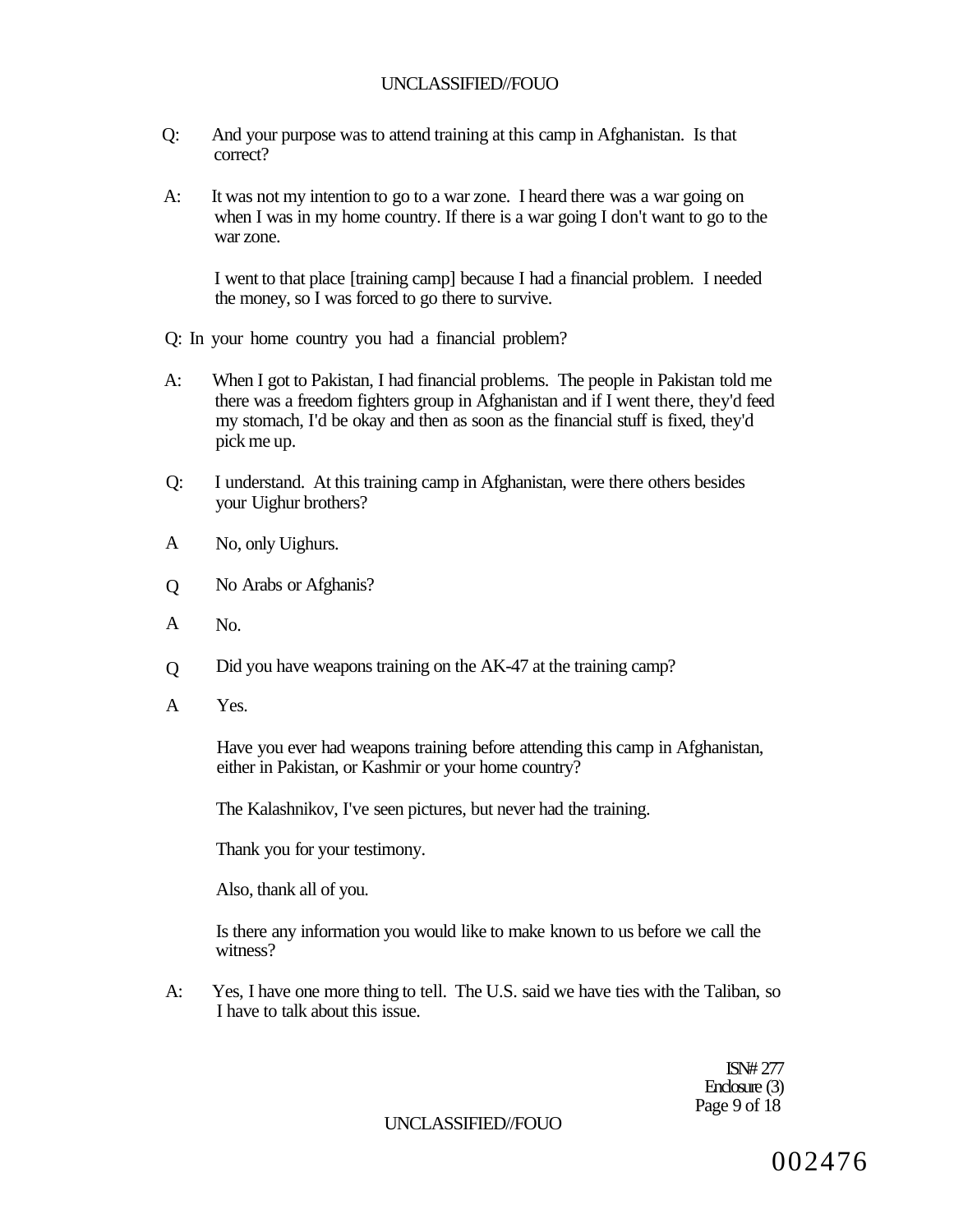- Q: And your purpose was to attend training at this camp in Afghanistan. Is that correct?
- A: It was not my intention to go to a war zone. I heard there was a war going on when I was in my home country. If there is a war going I don't want to go to the war zone.

I went to that place [training camp] because I had a financial problem. I needed the money, so I was forced to go there to survive.

- Q: In your home country you had a financial problem?
- A: When I got to Pakistan, I had financial problems. The people in Pakistan told me there was a freedom fighters group in Afghanistan and if I went there, they'd feed my stomach, I'd be okay and then as soon as the financial stuff is fixed, they'd pick me up.
- Q: I understand. At this training camp in Afghanistan, were there others besides your Uighur brothers?
- A No, only Uighurs.
- $\overline{O}$ No Arabs or Afghanis?
- A No.
- $\overline{O}$ Did you have weapons training on the AK-47 at the training camp?
- A Yes.

Have you ever had weapons training before attending this camp in Afghanistan, either in Pakistan, or Kashmir or your home country?

The Kalashnikov, I've seen pictures, but never had the training.

Thank you for your testimony.

Also, thank all of you.

Is there any information you would like to make known to us before we call the witness?

A: Yes, I have one more thing to tell. The U.S. said we have ties with the Taliban, so I have to talk about this issue.

> ISN# 277 Enclosure (3) Page 9 of 18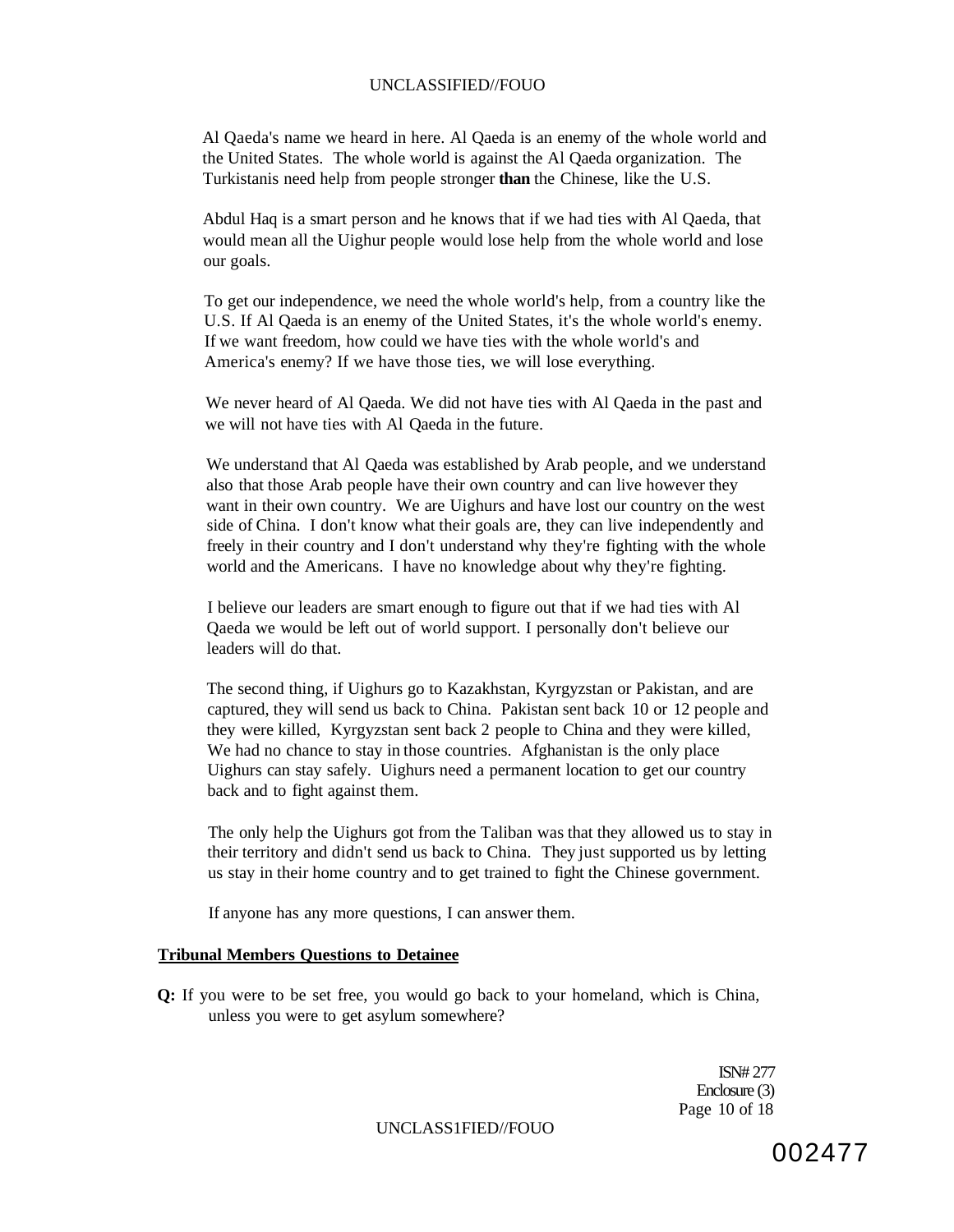Al Qaeda's name we heard in here. Al Qaeda is an enemy of the whole world and the United States. The whole world is against the Al Qaeda organization. The Turkistanis need help from people stronger **than** the Chinese, like the U.S.

Abdul Haq is a smart person and he knows that if we had ties with Al Qaeda, that would mean all the Uighur people would lose help from the whole world and lose our goals.

To get our independence, we need the whole world's help, from a country like the U.S. If Al Qaeda is an enemy of the United States, it's the whole world's enemy. If we want freedom, how could we have ties with the whole world's and America's enemy? If we have those ties, we will lose everything.

We never heard of Al Qaeda. We did not have ties with Al Qaeda in the past and we will not have ties with Al Qaeda in the future.

We understand that Al Qaeda was established by Arab people, and we understand also that those Arab people have their own country and can live however they want in their own country. We are Uighurs and have lost our country on the west side of China. I don't know what their goals are, they can live independently and freely in their country and I don't understand why they're fighting with the whole world and the Americans. I have no knowledge about why they're fighting.

I believe our leaders are smart enough to figure out that if we had ties with Al Qaeda we would be left out of world support. I personally don't believe our leaders will do that.

The second thing, if Uighurs go to Kazakhstan, Kyrgyzstan or Pakistan, and are captured, they will send us back to China. Pakistan sent back 10 or 12 people and they were killed, Kyrgyzstan sent back 2 people to China and they were killed, We had no chance to stay in those countries. Afghanistan is the only place Uighurs can stay safely. Uighurs need a permanent location to get our country back and to fight against them.

The only help the Uighurs got from the Taliban was that they allowed us to stay in their territory and didn't send us back to China. They just supported us by letting us stay in their home country and to get trained to fight the Chinese government.

If anyone has any more questions, I can answer them.

#### **Tribunal Members Questions to Detainee**

**Q:** If you were to be set free, you would go back to your homeland, which is China, unless you were to get asylum somewhere?

> ISN# 277 Enclosure (3) Page 10 of 18

UNCLASS1FIED//FOUO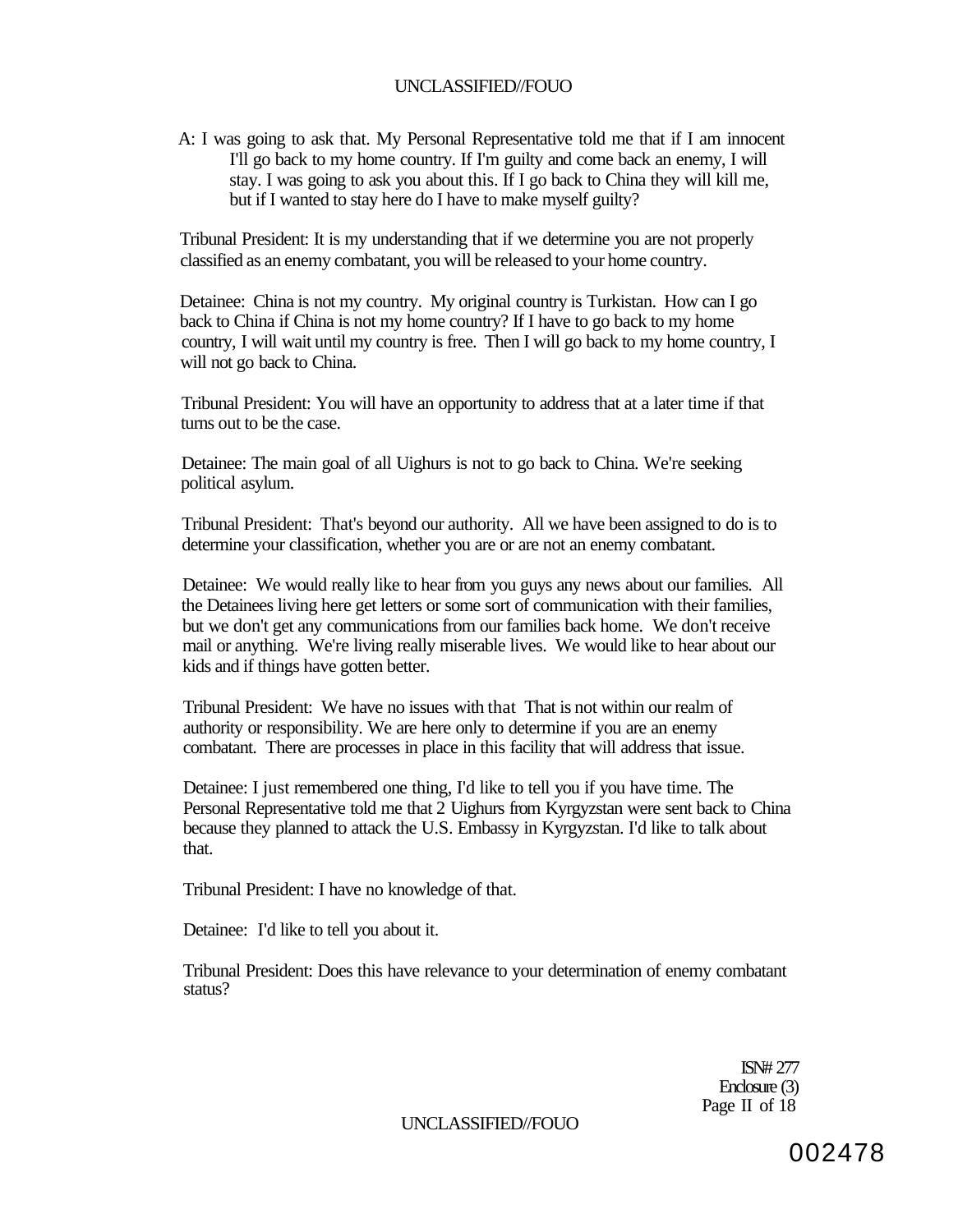A: I was going to ask that. My Personal Representative told me that if I am innocent I'll go back to my home country. If I'm guilty and come back an enemy, I will stay. I was going to ask you about this. If I go back to China they will kill me, but if I wanted to stay here do I have to make myself guilty?

Tribunal President: It is my understanding that if we determine you are not properly classified as an enemy combatant, you will be released to your home country.

Detainee: China is not my country. My original country is Turkistan. How can I go back to China if China is not my home country? If I have to go back to my home country, I will wait until my country is free. Then I will go back to my home country, I will not go back to China.

Tribunal President: You will have an opportunity to address that at a later time if that turns out to be the case.

Detainee: The main goal of all Uighurs is not to go back to China. We're seeking political asylum.

Tribunal President: That's beyond our authority. All we have been assigned to do is to determine your classification, whether you are or are not an enemy combatant.

Detainee: We would really like to hear from you guys any news about our families. All the Detainees living here get letters or some sort of communication with their families, but we don't get any communications from our families back home. We don't receive mail or anything. We're living really miserable lives. We would like to hear about our kids and if things have gotten better.

Tribunal President: We have no issues with that That is not within our realm of authority or responsibility. We are here only to determine if you are an enemy combatant. There are processes in place in this facility that will address that issue.

Detainee: I just remembered one thing, I'd like to tell you if you have time. The Personal Representative told me that 2 Uighurs from Kyrgyzstan were sent back to China because they planned to attack the U.S. Embassy in Kyrgyzstan. I'd like to talk about that.

Tribunal President: I have no knowledge of that.

Detainee: I'd like to tell you about it.

Tribunal President: Does this have relevance to your determination of enemy combatant status?

> ISN# 277 Enclosure (3) Page II of 18

UNCLASSIFIED//FOUO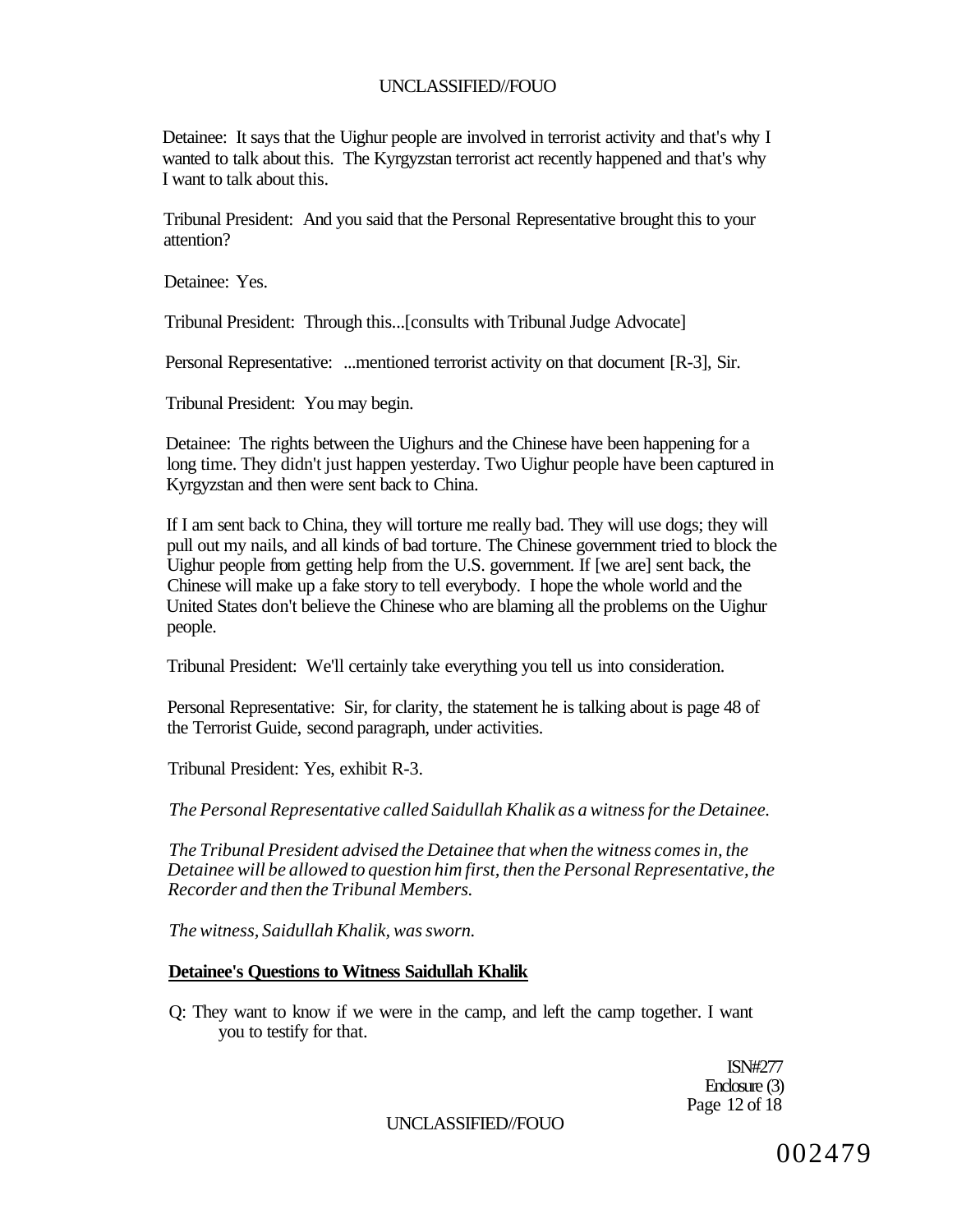Detainee: It says that the Uighur people are involved in terrorist activity and that's why I wanted to talk about this. The Kyrgyzstan terrorist act recently happened and that's why I want to talk about this.

Tribunal President: And you said that the Personal Representative brought this to your attention?

Detainee: Yes.

Tribunal President: Through this...[consults with Tribunal Judge Advocate]

Personal Representative: ...mentioned terrorist activity on that document [R-3], Sir.

Tribunal President: You may begin.

Detainee: The rights between the Uighurs and the Chinese have been happening for a long time. They didn't just happen yesterday. Two Uighur people have been captured in Kyrgyzstan and then were sent back to China.

If I am sent back to China, they will torture me really bad. They will use dogs; they will pull out my nails, and all kinds of bad torture. The Chinese government tried to block the Uighur people from getting help from the U.S. government. If [we are] sent back, the Chinese will make up a fake story to tell everybody. I hope the whole world and the United States don't believe the Chinese who are blaming all the problems on the Uighur people.

Tribunal President: We'll certainly take everything you tell us into consideration.

Personal Representative: Sir, for clarity, the statement he is talking about is page 48 of the Terrorist Guide, second paragraph, under activities.

Tribunal President: Yes, exhibit R-3.

*The Personal Representative called Saidullah Khalik as a witness for the Detainee.* 

*The Tribunal President advised the Detainee that when the witness comes in, the Detainee will be allowed to question him first, then the Personal Representative, the Recorder and then the Tribunal Members.* 

*The witness, Saidullah Khalik, was sworn.* 

#### **Detainee's Questions to Witness Saidullah Khalik**

Q: They want to know if we were in the camp, and left the camp together. I want you to testify for that.

> ISN#277 Enclosure (3) Page 12 of 18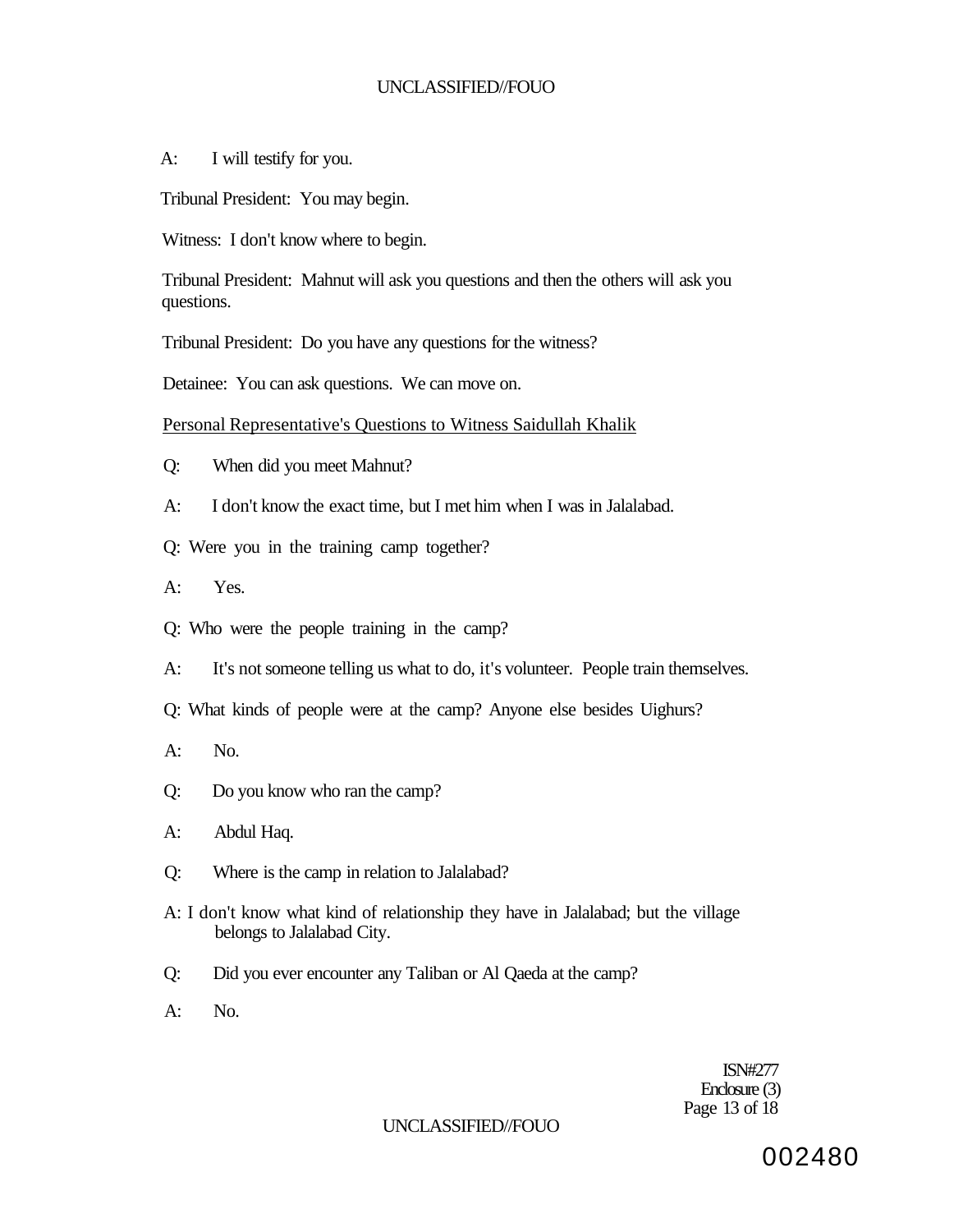A: I will testify for you.

Tribunal President: You may begin.

Witness: I don't know where to begin.

Tribunal President: Mahnut will ask you questions and then the others will ask you questions.

Tribunal President: Do you have any questions for the witness?

Detainee: You can ask questions. We can move on.

Personal Representative's Questions to Witness Saidullah Khalik

Q: When did you meet Mahnut?

- A: I don't know the exact time, but I met him when I was in Jalalabad.
- Q: Were you in the training camp together?
- A: Yes.
- Q: Who were the people training in the camp?
- A: It's not someone telling us what to do, it's volunteer. People train themselves.
- Q: What kinds of people were at the camp? Anyone else besides Uighurs?
- A: No.
- Q: Do you know who ran the camp?
- A: Abdul Haq.
- Q: Where is the camp in relation to Jalalabad?
- A: I don't know what kind of relationship they have in Jalalabad; but the village belongs to Jalalabad City.
- Q: Did you ever encounter any Taliban or Al Qaeda at the camp?

A: No.

ISN#277 Enclosure (3) Page 13 of 18

## UNCLASSIFIED//FOUO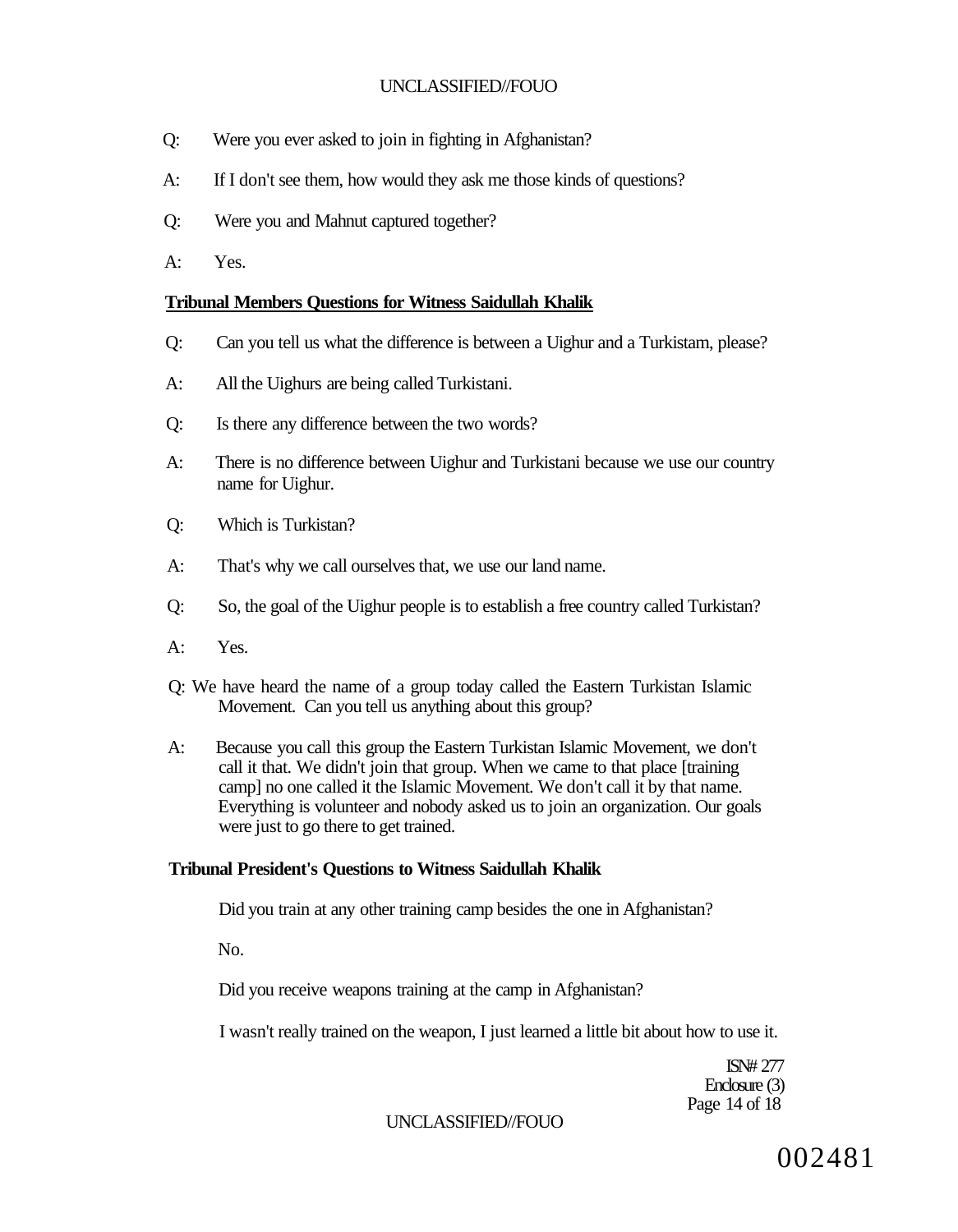- Q: Were you ever asked to join in fighting in Afghanistan?
- A: If I don't see them, how would they ask me those kinds of questions?
- Q: Were you and Mahnut captured together?
- A: Yes.

## **Tribunal Members Questions for Witness Saidullah Khalik**

- Q: Can you tell us what the difference is between a Uighur and a Turkistam, please?
- A: All the Uighurs are being called Turkistani.
- Q: Is there any difference between the two words?
- A: There is no difference between Uighur and Turkistani because we use our country name for Uighur.
- Q: Which is Turkistan?
- A: That's why we call ourselves that, we use our land name.
- Q: So, the goal of the Uighur people is to establish a free country called Turkistan?
- A: Yes.
- Q: We have heard the name of a group today called the Eastern Turkistan Islamic Movement. Can you tell us anything about this group?
- A: Because you call this group the Eastern Turkistan Islamic Movement, we don't call it that. We didn't join that group. When we came to that place [training camp] no one called it the Islamic Movement. We don't call it by that name. Everything is volunteer and nobody asked us to join an organization. Our goals were just to go there to get trained.

# **Tribunal President's Questions to Witness Saidullah Khalik**

Did you train at any other training camp besides the one in Afghanistan?

No.

Did you receive weapons training at the camp in Afghanistan?

I wasn't really trained on the weapon, I just learned a little bit about how to use it.

ISN# 277 Enclosure (3) Page 14 of 18

## UNCLASSIFIED//FOUO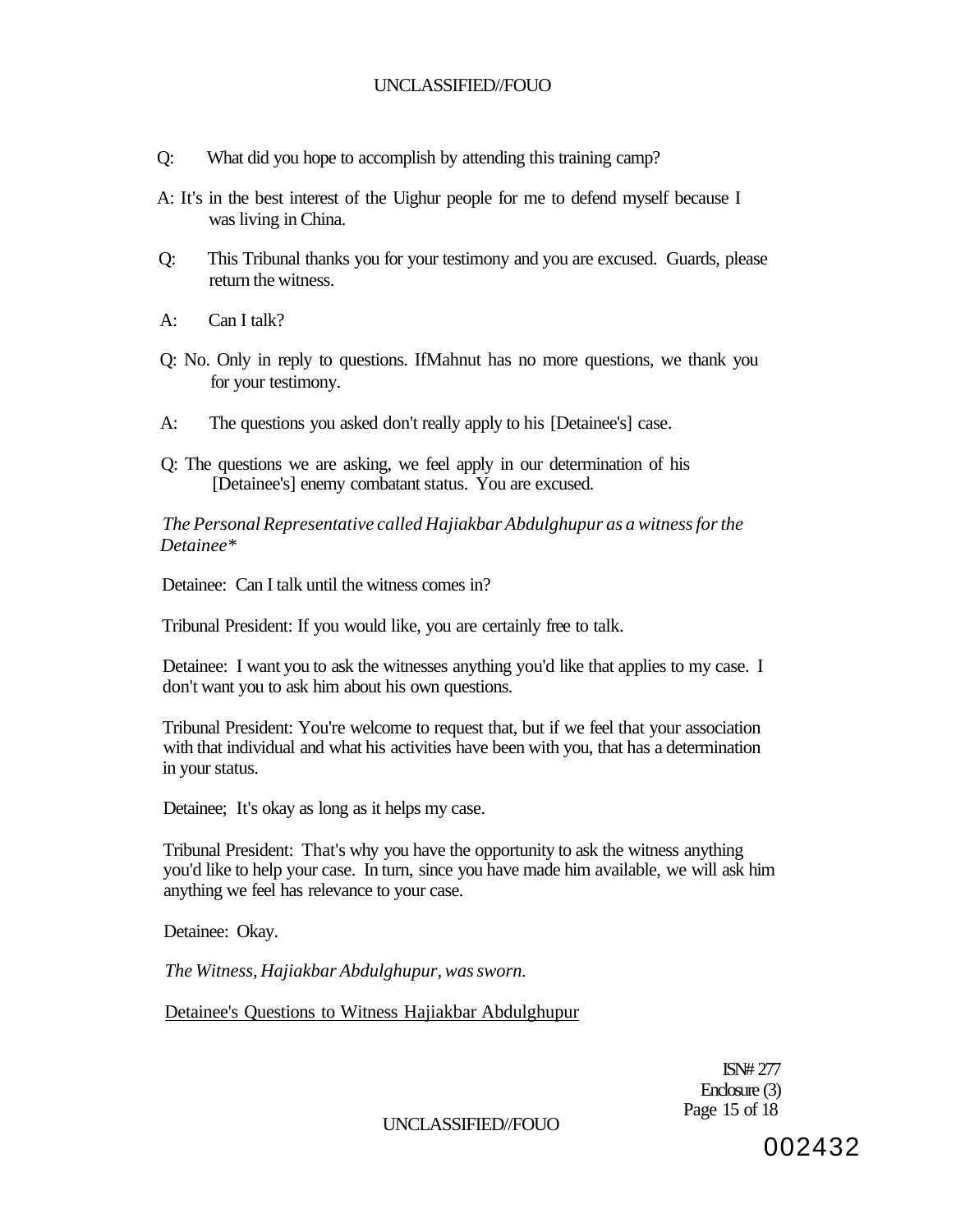- Q: What did you hope to accomplish by attending this training camp?
- A: It's in the best interest of the Uighur people for me to defend myself because I was living in China.
- Q: This Tribunal thanks you for your testimony and you are excused. Guards, please return the witness.
- A: Can I talk?
- Q: No. Only in reply to questions. IfMahnut has no more questions, we thank you for your testimony.
- A: The questions you asked don't really apply to his [Detainee's] case.
- Q: The questions we are asking, we feel apply in our determination of his [Detainee's] enemy combatant status. You are excused.

*The Personal Representative called Hajiakbar Abdulghupur as a witness for the Detainee\** 

Detainee: Can I talk until the witness comes in?

Tribunal President: If you would like, you are certainly free to talk.

Detainee: I want you to ask the witnesses anything you'd like that applies to my case. I don't want you to ask him about his own questions.

Tribunal President: You're welcome to request that, but if we feel that your association with that individual and what his activities have been with you, that has a determination in your status.

Detainee; It's okay as long as it helps my case.

Tribunal President: That's why you have the opportunity to ask the witness anything you'd like to help your case. In turn, since you have made him available, we will ask him anything we feel has relevance to your case.

Detainee: Okay.

*The Witness, Hajiakbar Abdulghupur, was sworn.* 

Detainee's Questions to Witness Hajiakbar Abdulghupur

ISN# 277 Enclosure (3) Page 15 of 18

UNCLASSIFIED//FOUO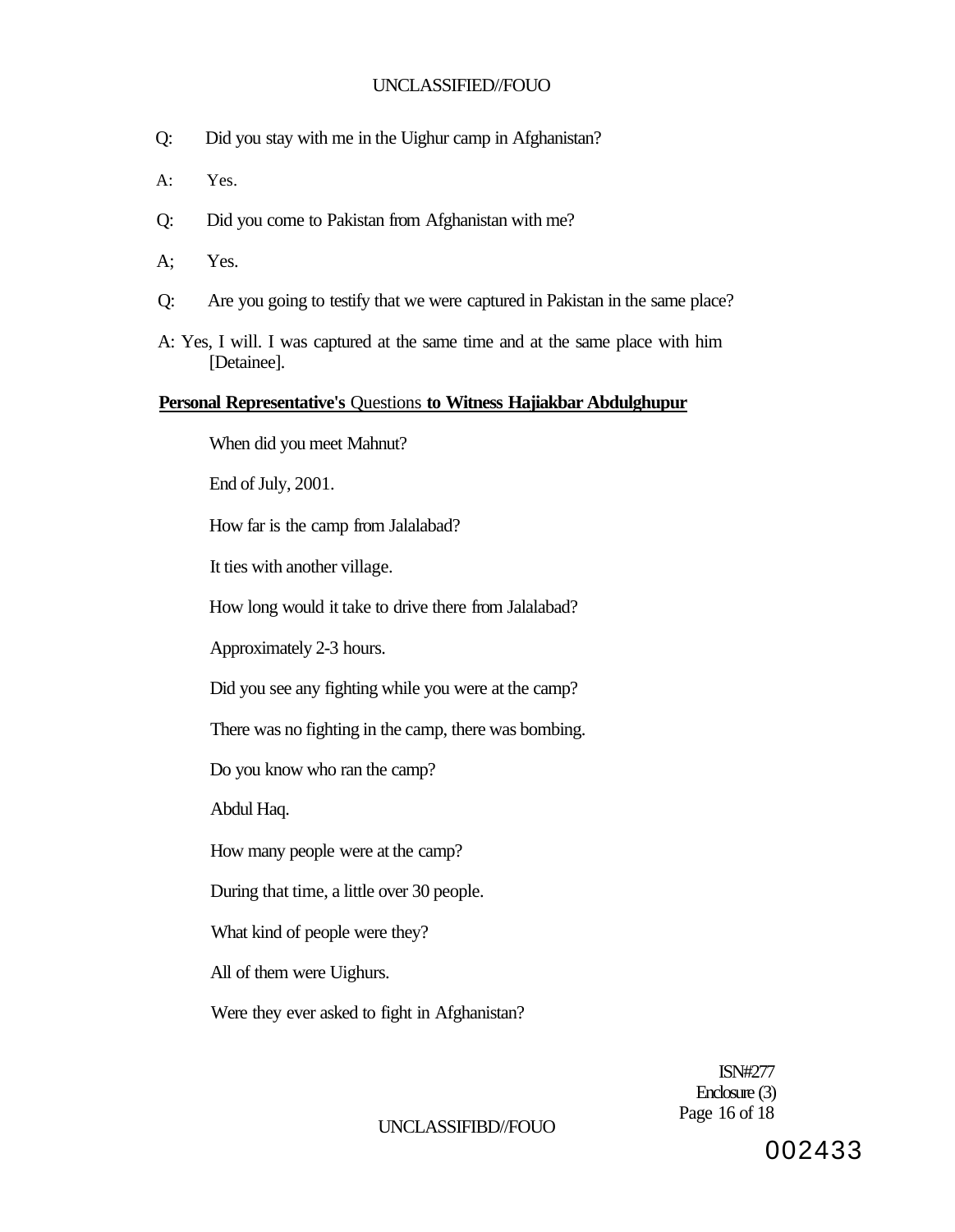- Q: Did you stay with me in the Uighur camp in Afghanistan?
- A: Yes.
- Q: Did you come to Pakistan from Afghanistan with me?
- A; Yes.
- Q: Are you going to testify that we were captured in Pakistan in the same place?
- A: Yes, I will. I was captured at the same time and at the same place with him [Detainee].

### **Personal Representative's** Questions **to Witness Hajiakbar Abdulghupur**

When did you meet Mahnut?

End of July, 2001.

How far is the camp from Jalalabad?

It ties with another village.

How long would it take to drive there from Jalalabad?

Approximately 2-3 hours.

Did you see any fighting while you were at the camp?

There was no fighting in the camp, there was bombing.

Do you know who ran the camp?

Abdul Haq.

How many people were at the camp?

During that time, a little over 30 people.

What kind of people were they?

All of them were Uighurs.

Were they ever asked to fight in Afghanistan?

ISN#277 Enclosure (3) Page 16 of 18

## UNCLASSIFIBD//FOUO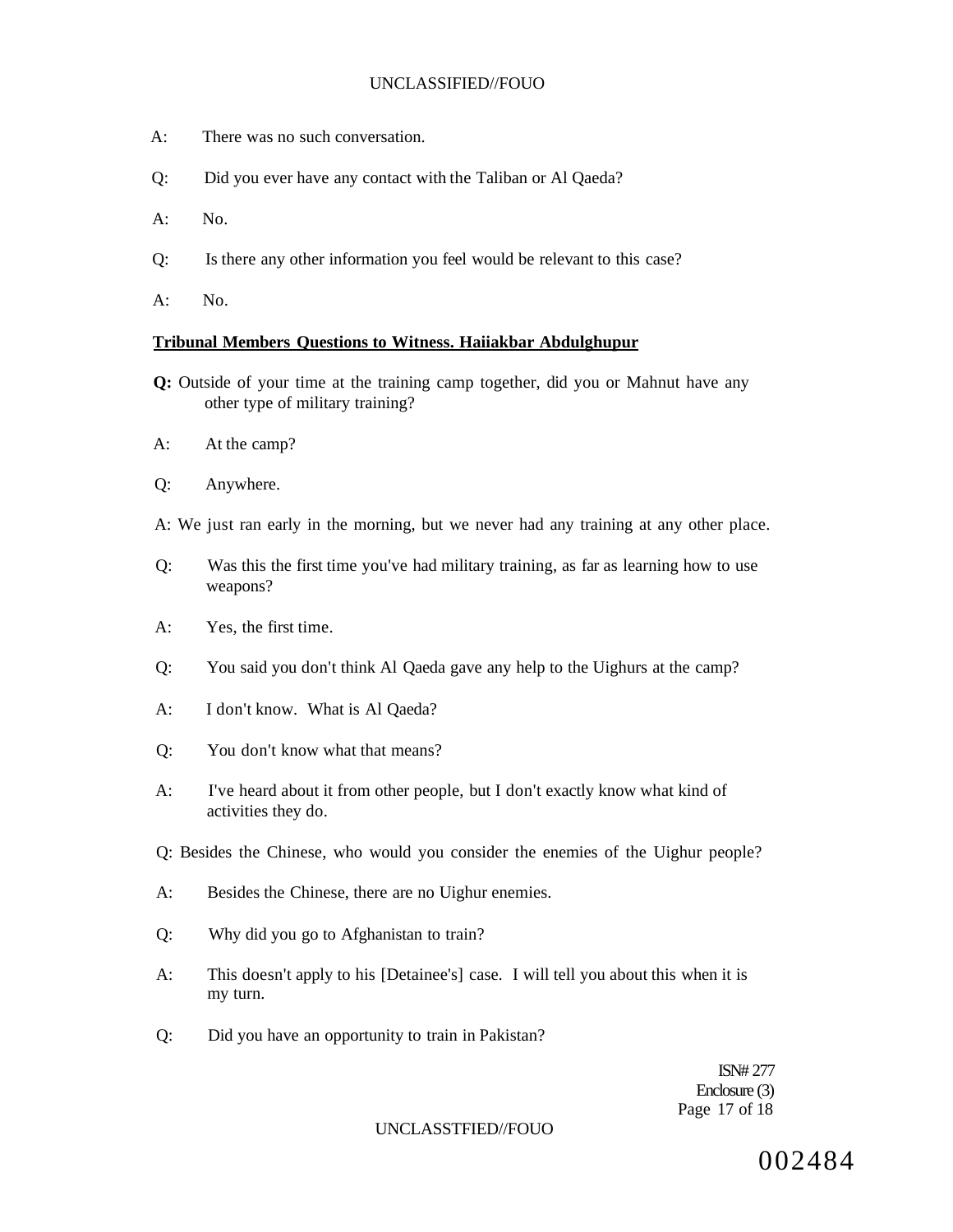- A: There was no such conversation.
- Q: Did you ever have any contact with the Taliban or Al Qaeda?
- $A:$  No.
- Q: Is there any other information you feel would be relevant to this case?
- A: No.

#### **Tribunal Members Questions to Witness. Haiiakbar Abdulghupur**

- **Q:** Outside of your time at the training camp together, did you or Mahnut have any other type of military training?
- A: At the camp?
- Q: Anywhere.
- A: We just ran early in the morning, but we never had any training at any other place.
- Q: Was this the first time you've had military training, as far as learning how to use weapons?
- A: Yes, the first time.
- Q: You said you don't think Al Qaeda gave any help to the Uighurs at the camp?
- A: I don't know. What is Al Qaeda?
- Q: You don't know what that means?
- A: I've heard about it from other people, but I don't exactly know what kind of activities they do.
- Q: Besides the Chinese, who would you consider the enemies of the Uighur people?
- A: Besides the Chinese, there are no Uighur enemies.
- Q: Why did you go to Afghanistan to train?
- A: This doesn't apply to his [Detainee's] case. I will tell you about this when it is my turn.
- Q: Did you have an opportunity to train in Pakistan?

ISN# 277 Enclosure (3) Page 17 of 18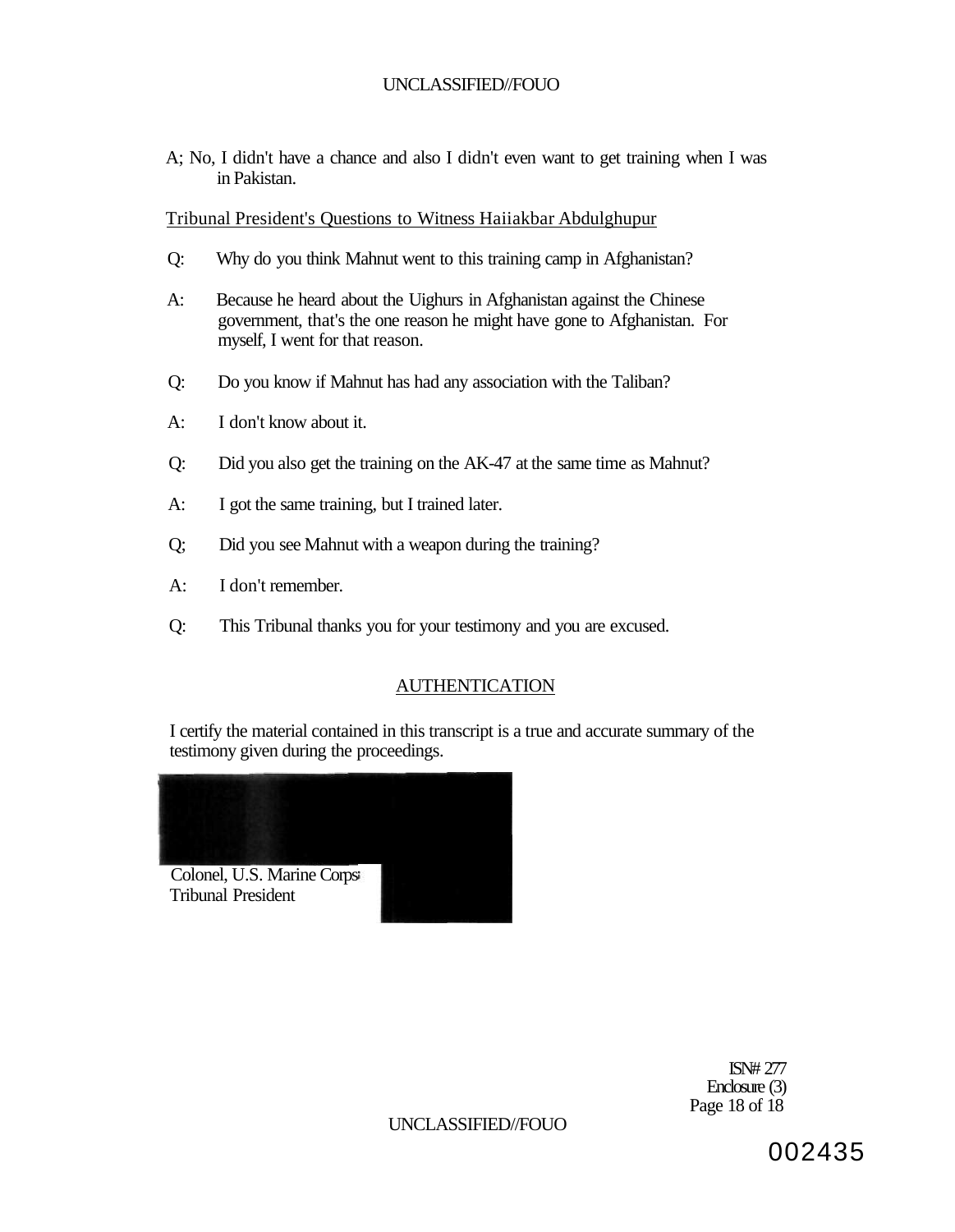A; No, I didn't have a chance and also I didn't even want to get training when I was in Pakistan.

Tribunal President's Questions to Witness Haiiakbar Abdulghupur

- Q: Why do you think Mahnut went to this training camp in Afghanistan?
- A: Because he heard about the Uighurs in Afghanistan against the Chinese government, that's the one reason he might have gone to Afghanistan. For myself, I went for that reason.
- Q: Do you know if Mahnut has had any association with the Taliban?
- A: I don't know about it.
- Q: Did you also get the training on the AK-47 at the same time as Mahnut?
- A: I got the same training, but I trained later.
- Q; Did you see Mahnut with a weapon during the training?
- A: I don't remember.
- Q: This Tribunal thanks you for your testimony and you are excused.

# **AUTHENTICATION**

I certify the material contained in this transcript is a true and accurate summary of the testimony given during the proceedings.



ISN# 277 Enclosure (3) Page 18 of 18

UNCLASSIFIED//FOUO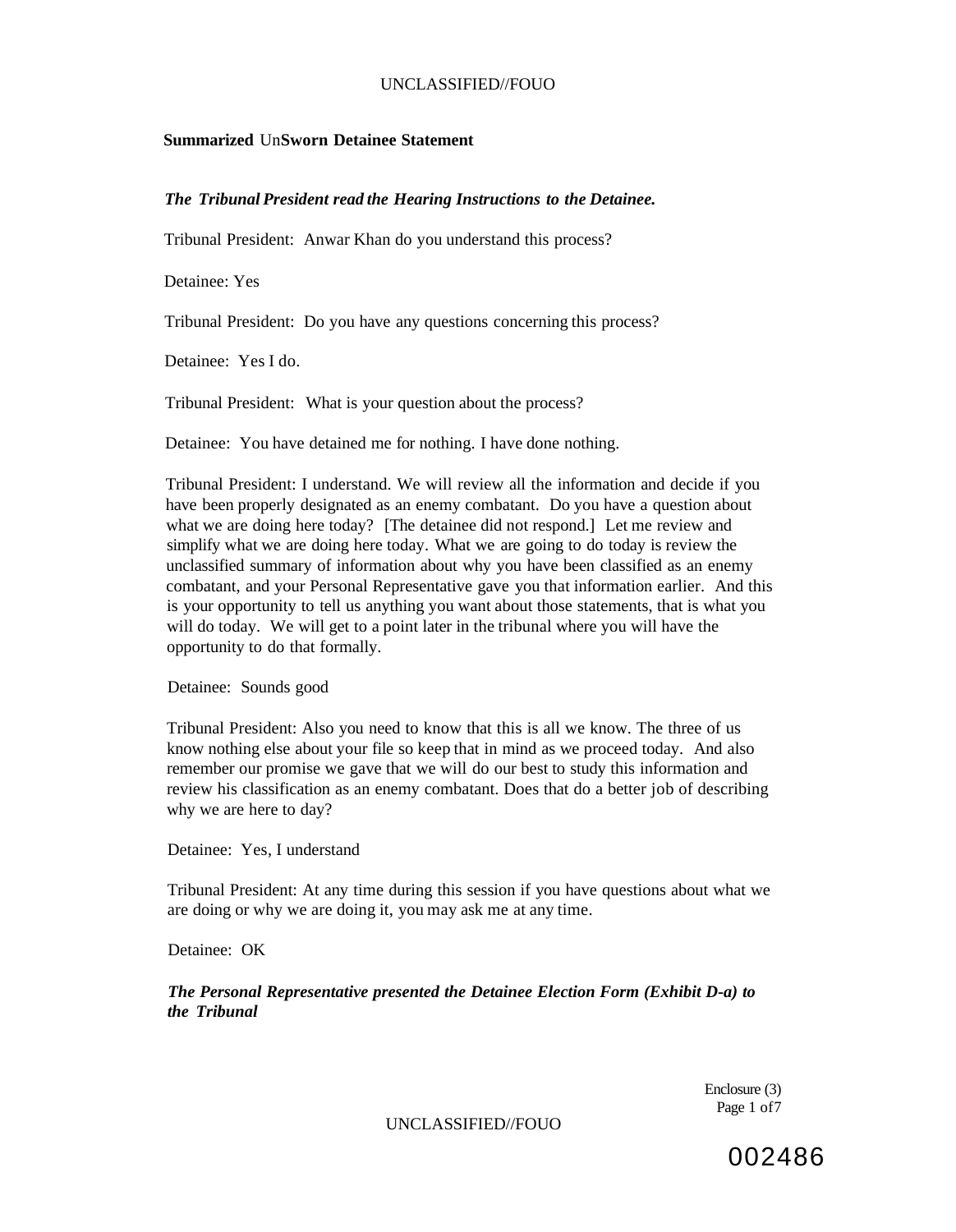### **Summarized** Un**Sworn Detainee Statement**

### *The Tribunal President read the Hearing Instructions to the Detainee.*

Tribunal President: Anwar Khan do you understand this process?

Detainee: Yes

Tribunal President: Do you have any questions concerning this process?

Detainee: Yes I do.

Tribunal President: What is your question about the process?

Detainee: You have detained me for nothing. I have done nothing.

Tribunal President: I understand. We will review all the information and decide if you have been properly designated as an enemy combatant. Do you have a question about what we are doing here today? [The detainee did not respond.] Let me review and simplify what we are doing here today. What we are going to do today is review the unclassified summary of information about why you have been classified as an enemy combatant, and your Personal Representative gave you that information earlier. And this is your opportunity to tell us anything you want about those statements, that is what you will do today. We will get to a point later in the tribunal where you will have the opportunity to do that formally.

Detainee: Sounds good

Tribunal President: Also you need to know that this is all we know. The three of us know nothing else about your file so keep that in mind as we proceed today. And also remember our promise we gave that we will do our best to study this information and review his classification as an enemy combatant. Does that do a better job of describing why we are here to day?

Detainee: Yes, I understand

Tribunal President: At any time during this session if you have questions about what we are doing or why we are doing it, you may ask me at any time.

Detainee: OK

*The Personal Representative presented the Detainee Election Form (Exhibit D-a) to the Tribunal* 

> Enclosure (3) Page 1 of7

UNCLASSIFIED//FOUO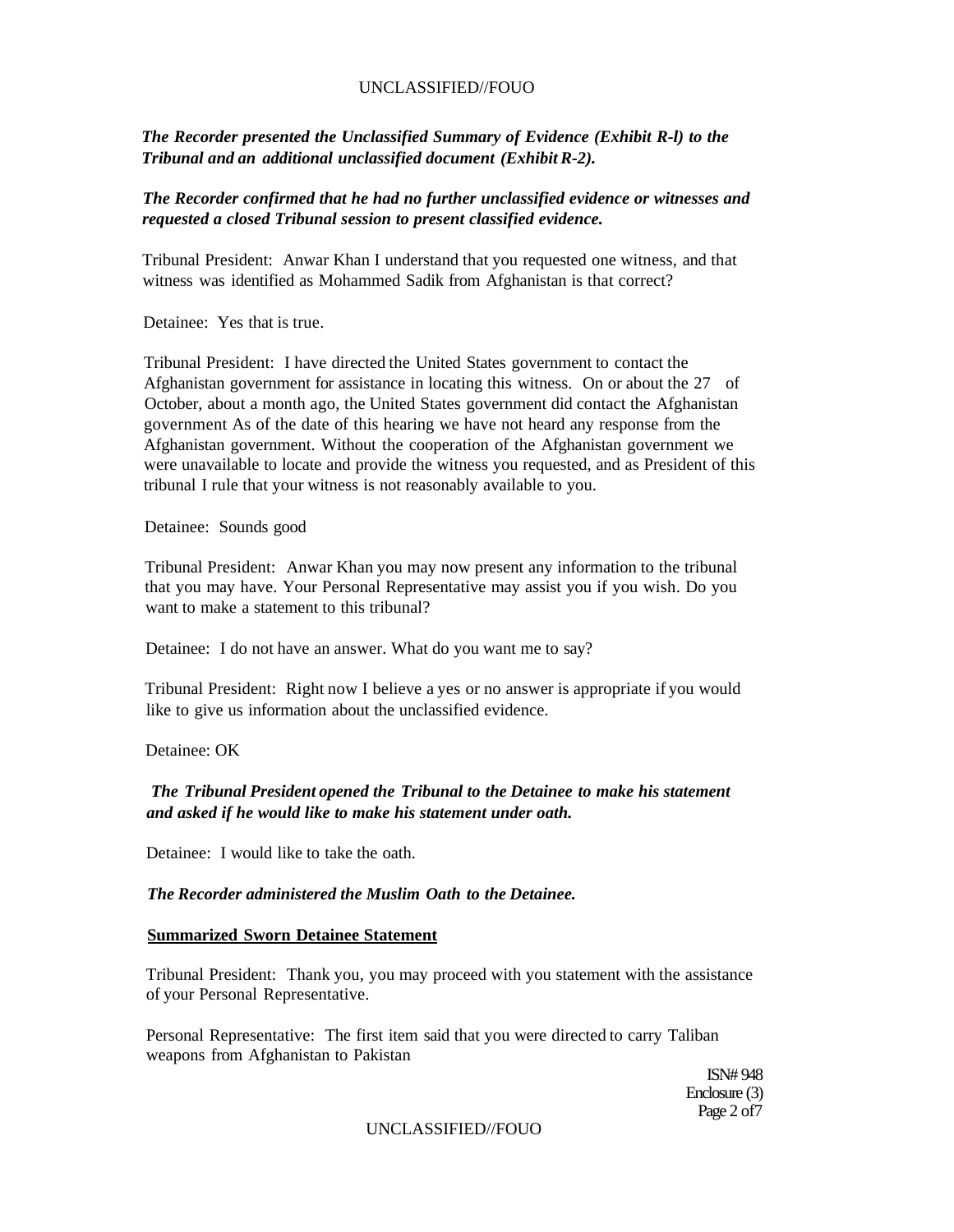*The Recorder presented the Unclassified Summary of Evidence (Exhibit R-l) to the Tribunal and an additional unclassified document (Exhibit R-2).* 

## *The Recorder confirmed that he had no further unclassified evidence or witnesses and requested a closed Tribunal session to present classified evidence.*

Tribunal President: Anwar Khan I understand that you requested one witness, and that witness was identified as Mohammed Sadik from Afghanistan is that correct?

Detainee: Yes that is true.

Tribunal President: I have directed the United States government to contact the Afghanistan government for assistance in locating this witness. On or about the 27 of October, about a month ago, the United States government did contact the Afghanistan government As of the date of this hearing we have not heard any response from the Afghanistan government. Without the cooperation of the Afghanistan government we were unavailable to locate and provide the witness you requested, and as President of this tribunal I rule that your witness is not reasonably available to you.

Detainee: Sounds good

Tribunal President: Anwar Khan you may now present any information to the tribunal that you may have. Your Personal Representative may assist you if you wish. Do you want to make a statement to this tribunal?

Detainee: I do not have an answer. What do you want me to say?

Tribunal President: Right now I believe a yes or no answer is appropriate if you would like to give us information about the unclassified evidence.

Detainee: OK

## *The Tribunal President opened the Tribunal to the Detainee to make his statement and asked if he would like to make his statement under oath.*

Detainee: I would like to take the oath.

## *The Recorder administered the Muslim Oath to the Detainee.*

#### **Summarized Sworn Detainee Statement**

Tribunal President: Thank you, you may proceed with you statement with the assistance of your Personal Representative.

Personal Representative: The first item said that you were directed to carry Taliban weapons from Afghanistan to Pakistan

> ISN# 948 Enclosure (3) Page 2 of7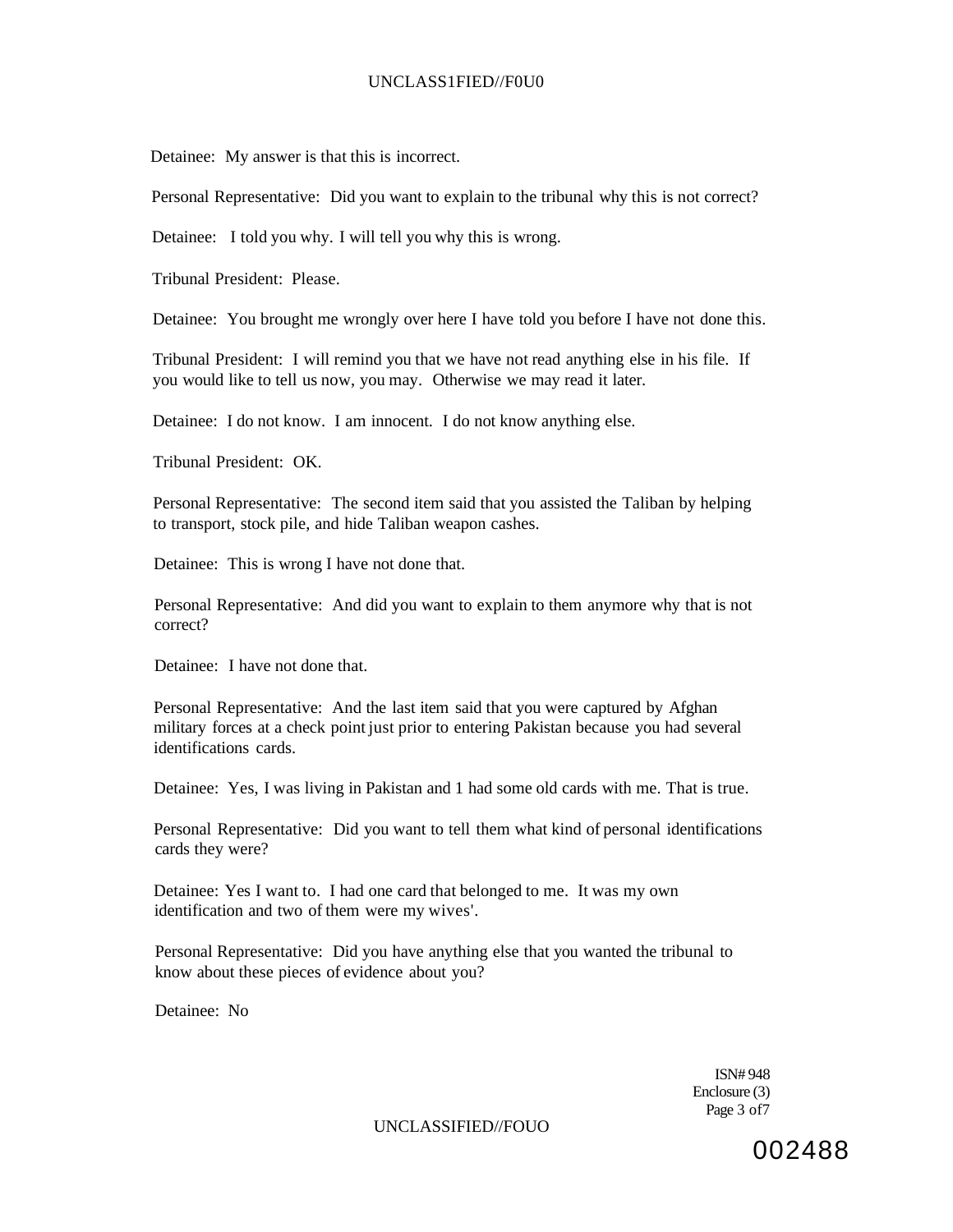### UNCLASS1FIED//F0U0

Detainee: My answer is that this is incorrect.

Personal Representative: Did you want to explain to the tribunal why this is not correct?

Detainee: I told you why. I will tell you why this is wrong.

Tribunal President: Please.

Detainee: You brought me wrongly over here I have told you before I have not done this.

Tribunal President: I will remind you that we have not read anything else in his file. If you would like to tell us now, you may. Otherwise we may read it later.

Detainee: I do not know. I am innocent. I do not know anything else.

Tribunal President: OK.

Personal Representative: The second item said that you assisted the Taliban by helping to transport, stock pile, and hide Taliban weapon cashes.

Detainee: This is wrong I have not done that.

Personal Representative: And did you want to explain to them anymore why that is not correct?

Detainee: I have not done that.

Personal Representative: And the last item said that you were captured by Afghan military forces at a check point just prior to entering Pakistan because you had several identifications cards.

Detainee: Yes, I was living in Pakistan and 1 had some old cards with me. That is true.

Personal Representative: Did you want to tell them what kind of personal identifications cards they were?

Detainee: Yes I want to. I had one card that belonged to me. It was my own identification and two of them were my wives'.

Personal Representative: Did you have anything else that you wanted the tribunal to know about these pieces of evidence about you?

Detainee: No

ISN# 948 Enclosure (3) Page 3 of7

UNCLASSIFIED//FOUO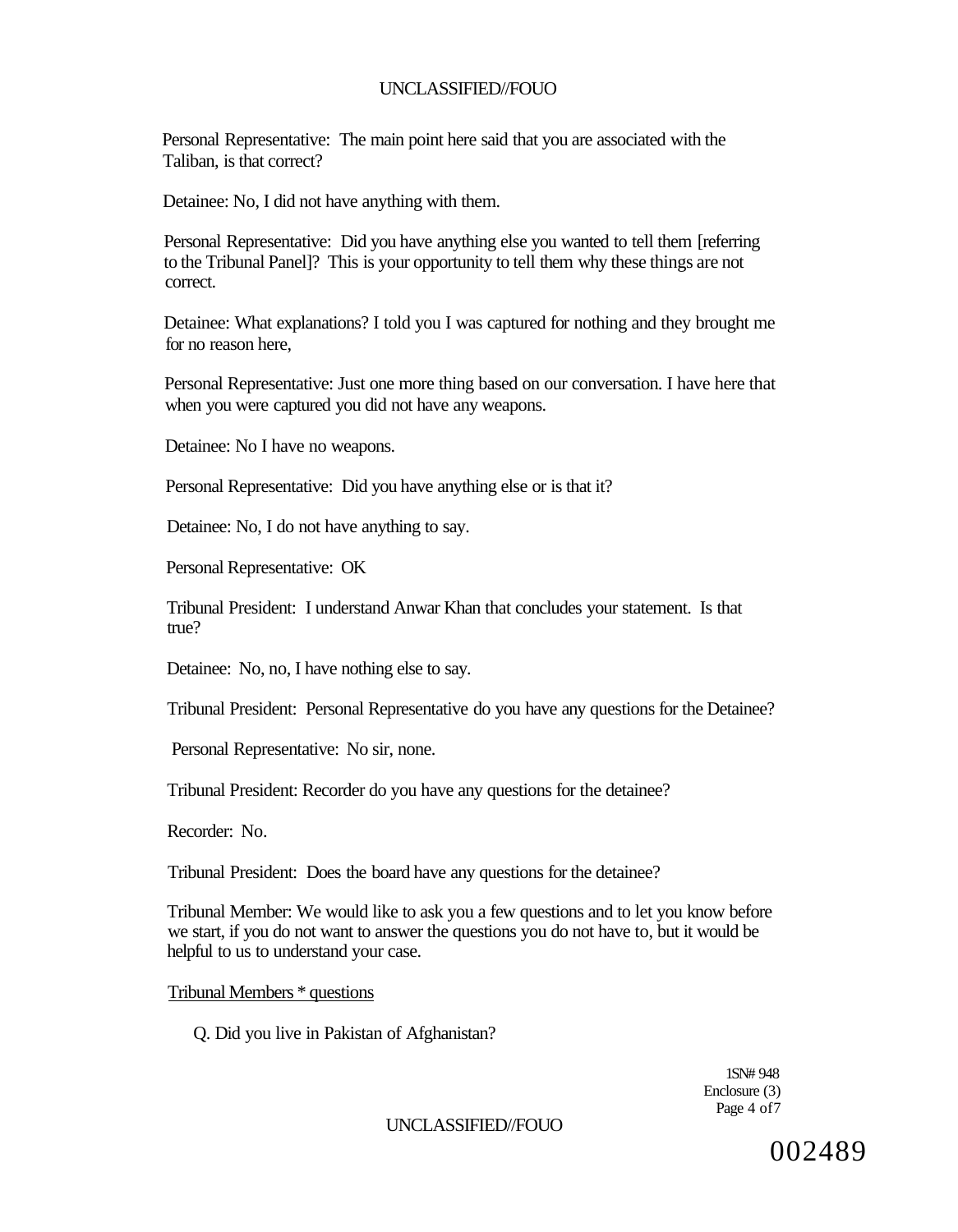Personal Representative: The main point here said that you are associated with the Taliban, is that correct?

Detainee: No, I did not have anything with them.

Personal Representative: Did you have anything else you wanted to tell them [referring to the Tribunal Panel]? This is your opportunity to tell them why these things are not correct.

Detainee: What explanations? I told you I was captured for nothing and they brought me for no reason here,

Personal Representative: Just one more thing based on our conversation. I have here that when you were captured you did not have any weapons.

Detainee: No I have no weapons.

Personal Representative: Did you have anything else or is that it?

Detainee: No, I do not have anything to say.

Personal Representative: OK

Tribunal President: I understand Anwar Khan that concludes your statement. Is that true?

Detainee: No, no, I have nothing else to say.

Tribunal President: Personal Representative do you have any questions for the Detainee?

Personal Representative: No sir, none.

Tribunal President: Recorder do you have any questions for the detainee?

Recorder: No.

Tribunal President: Does the board have any questions for the detainee?

Tribunal Member: We would like to ask you a few questions and to let you know before we start, if you do not want to answer the questions you do not have to, but it would be helpful to us to understand your case.

Tribunal Members \* questions

Q. Did you live in Pakistan of Afghanistan?

1SN# 948 Enclosure (3) Page 4 of 7

UNCLASSIFIED//FOUO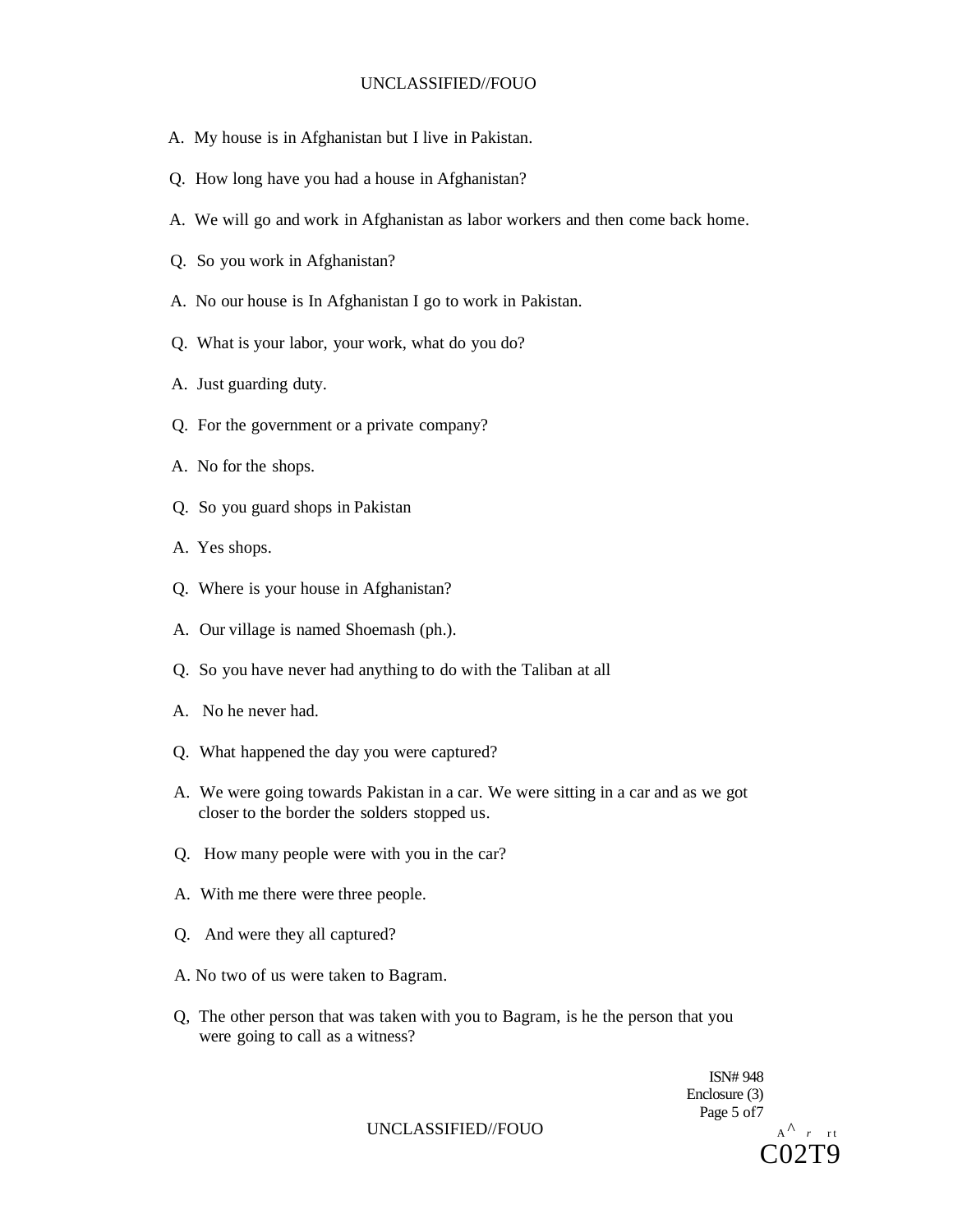- A. My house is in Afghanistan but I live in Pakistan.
- Q. How long have you had a house in Afghanistan?
- A. We will go and work in Afghanistan as labor workers and then come back home.
- Q. So you work in Afghanistan?
- A. No our house is In Afghanistan I go to work in Pakistan.
- Q. What is your labor, your work, what do you do?
- A. Just guarding duty.
- Q. For the government or a private company?
- A. No for the shops.
- Q. So you guard shops in Pakistan
- A. Yes shops.
- Q. Where is your house in Afghanistan?
- A. Our village is named Shoemash (ph.).
- Q. So you have never had anything to do with the Taliban at all
- A. No he never had.
- Q. What happened the day you were captured?
- A. We were going towards Pakistan in a car. We were sitting in a car and as we got closer to the border the solders stopped us.
- Q. How many people were with you in the car?
- A. With me there were three people.
- Q. And were they all captured?
- A. No two of us were taken to Bagram.
- Q, The other person that was taken with you to Bagram, is he the person that you were going to call as a witness?

ISN# 948 Enclosure (3) Page 5 of7

C02T9

UNCLASSIFIED//FOUO  $A^A r r t$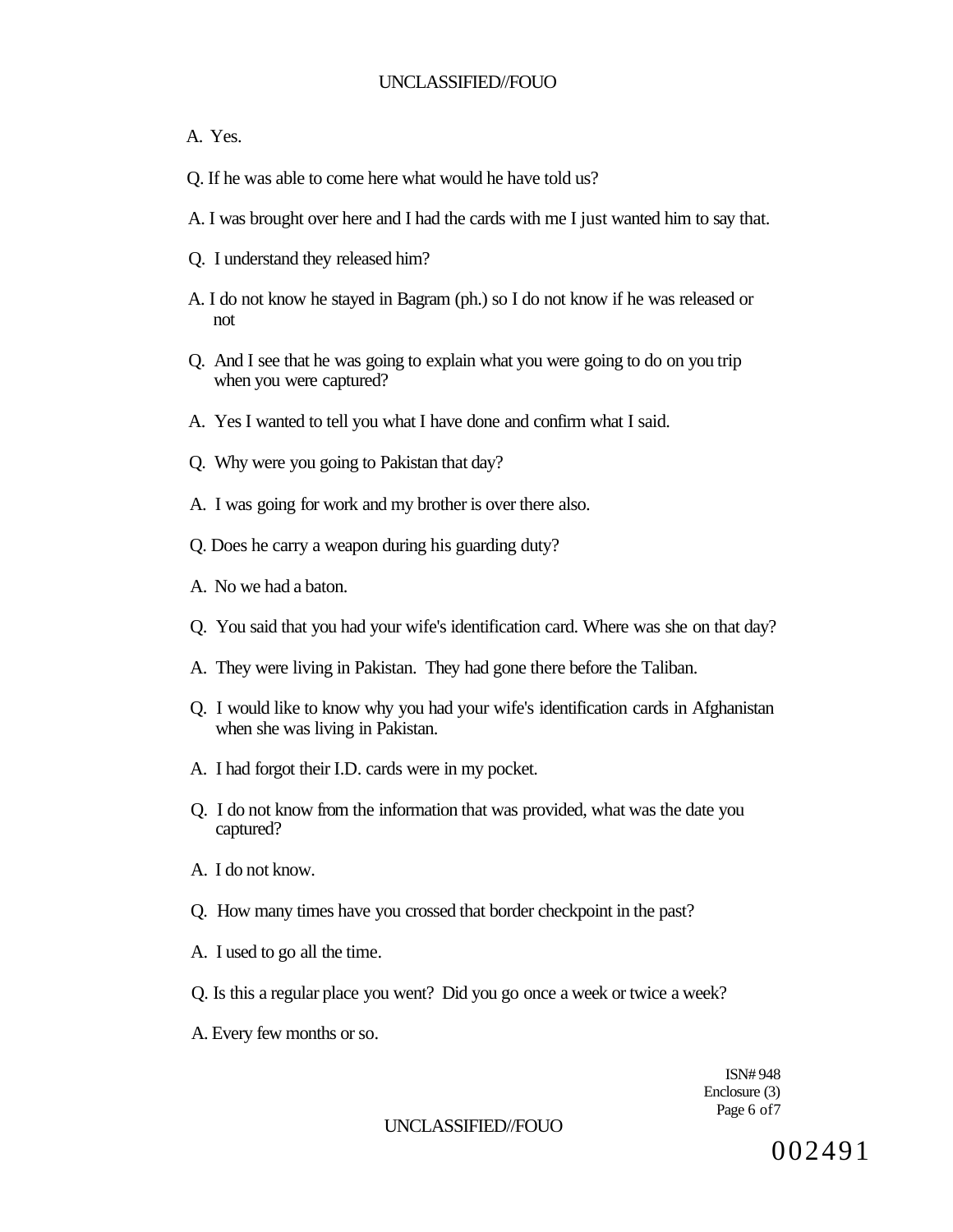### A. Yes.

- Q. If he was able to come here what would he have told us?
- A. I was brought over here and I had the cards with me I just wanted him to say that.
- Q. I understand they released him?
- A. I do not know he stayed in Bagram (ph.) so I do not know if he was released or not
- Q. And I see that he was going to explain what you were going to do on you trip when you were captured?
- A. Yes I wanted to tell you what I have done and confirm what I said.
- Q. Why were you going to Pakistan that day?
- A. I was going for work and my brother is over there also.
- Q. Does he carry a weapon during his guarding duty?
- A. No we had a baton.
- Q. You said that you had your wife's identification card. Where was she on that day?
- A. They were living in Pakistan. They had gone there before the Taliban.
- Q. I would like to know why you had your wife's identification cards in Afghanistan when she was living in Pakistan.
- A. I had forgot their I.D. cards were in my pocket.
- Q. I do not know from the information that was provided, what was the date you captured?
- A. I do not know.
- Q. How many times have you crossed that border checkpoint in the past?
- A. I used to go all the time.
- Q. Is this a regular place you went? Did you go once a week or twice a week?
- A. Every few months or so.

ISN# 948 Enclosure (3) Page 6 of7

#### UNCLASSIFIED//FOUO